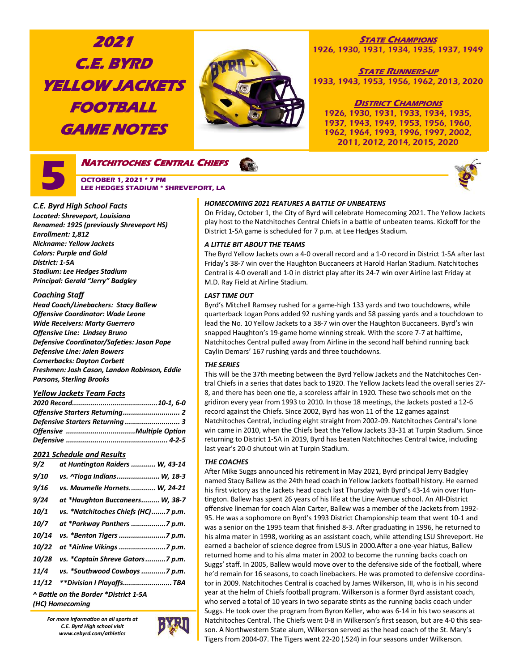# **2021 C.E. BYRD YELLOW JACKETS FOOTBALL GAME NOTES**



# **STATE CHAMPIONS** 1926, 1930, 1931, 1934, 1935, 1937, 1949

**STATE RUNNERS-UP** 1933, 1943, 1953, 1956, 1962, 2013, 2020

# **DISTRICT CHAMPIONS**

1926, 1930, 1931, 1933, 1934, 1935, 1937, 1943, 1949, 1953, 1956, 1960, 1962, 1964, 1993, 1996, 1997, 2002, 2011, 2012, 2014, 2015, 2020



# **NATCHITOCHES CENTRAL CHIEFS OCTOBER 1, 2021 \* 7 PM LEE HEDGES STADIUM \* SHREVEPORT, LA**



# *C.E. Byrd High School Facts*

*Located: Shreveport, Louisiana Renamed: 1925 (previously Shreveport HS) Enrollment: 1,812 Nickname: Yellow Jackets Colors: Purple and Gold District: 1-5A Stadium: Lee Hedges Stadium Principal: Gerald "Jerry" Badgley*

# *Coaching Staff*

*Head Coach/Linebackers: Stacy Ballew Offensive Coordinator: Wade Leone Wide Receivers: Marty Guerrero Offensive Line: Lindsey Bruno Defensive Coordinator/Safeties: Jason Pope Defensive Line: Jalen Bowers Cornerbacks: Dayton Corbett Freshmen: Josh Cason, Landon Robinson, Eddie Parsons, Sterling Brooks*

# *Yellow Jackets Team Facts*

| Defensive Starters Returning  3 |  |
|---------------------------------|--|
|                                 |  |
|                                 |  |

# *2021 Schedule and Results*

| 9/2                | at Huntington Raiders  W, 43-14       |
|--------------------|---------------------------------------|
| <i>9/10</i>        | vs. ^Tioga Indians W, 18-3            |
| 9/16               | vs. Maumelle Hornets W, 24-21         |
| 9/24               | at *Haughton Buccaneers W, 38-7       |
| 10/1               | vs. *Natchitoches Chiefs (HC)7 p.m.   |
| <i><b>10/7</b></i> | at *Parkway Panthers 7 p.m.           |
| 10/14              | vs. *Benton Tigers 7 p.m.             |
| 10/22              | at *Airline Vikings 7 p.m.            |
| 10/28              | vs. *Captain Shreve Gators7 p.m.      |
| 11/4               | vs. *Southwood Cowboys 7 p.m.         |
| 11/12              | **Division I Playoffs TBA             |
|                    | ^ Battle on the Border *District 1-5A |
|                    | (HC) Homecoming                       |

*For more information on all sports at C.E. Byrd High school visit www.cebyrd.com/athletics*



# *HOMECOMING 2021 FEATURES A BATTLE OF UNBEATENS*

On Friday, October 1, the City of Byrd will celebrate Homecoming 2021. The Yellow Jackets play host to the Natchitoches Central Chiefs in a battle of unbeaten teams. Kickoff for the District 1-5A game is scheduled for 7 p.m. at Lee Hedges Stadium.

# *A LITTLE BIT ABOUT THE TEAMS*

The Byrd Yellow Jackets own a 4-0 overall record and a 1-0 record in District 1-5A after last Friday's 38-7 win over the Haughton Buccaneers at Harold Harlan Stadium. Natchitoches Central is 4-0 overall and 1-0 in district play after its 24-7 win over Airline last Friday at M.D. Ray Field at Airline Stadium.

# *LAST TIME OUT*

Byrd's Mitchell Ramsey rushed for a game-high 133 yards and two touchdowns, while quarterback Logan Pons added 92 rushing yards and 58 passing yards and a touchdown to lead the No. 10 Yellow Jackets to a 38-7 win over the Haughton Buccaneers. Byrd's win snapped Haughton's 19-game home winning streak. With the score 7-7 at halftime, Natchitoches Central pulled away from Airline in the second half behind running back Caylin Demars' 167 rushing yards and three touchdowns.

# *THE SERIES*

This will be the 37th meeting between the Byrd Yellow Jackets and the Natchitoches Central Chiefs in a series that dates back to 1920. The Yellow Jackets lead the overall series 27- 8, and there has been one tie, a scoreless affair in 1920. These two schools met on the gridiron every year from 1993 to 2010. In those 18 meetings, the Jackets posted a 12-6 record against the Chiefs. Since 2002, Byrd has won 11 of the 12 games against Natchitoches Central, including eight straight from 2002-09. Natchitoches Central's lone win came in 2010, when the Chiefs beat the Yellow Jackets 33-31 at Turpin Stadium. Since returning to District 1-5A in 2019, Byrd has beaten Natchitoches Central twice, including last year's 20-0 shutout win at Turpin Stadium.

# *THE COACHES*

After Mike Suggs announced his retirement in May 2021, Byrd principal Jerry Badgley named Stacy Ballew as the 24th head coach in Yellow Jackets football history. He earned his first victory as the Jackets head coach last Thursday with Byrd's 43-14 win over Huntington. Ballew has spent 26 years of his life at the Line Avenue school. An All-District offensive lineman for coach Alan Carter, Ballew was a member of the Jackets from 1992- 95. He was a sophomore on Byrd's 1993 District Championship team that went 10-1 and was a senior on the 1995 team that finished 8-3. After graduating in 1996, he returned to his alma mater in 1998, working as an assistant coach, while attending LSU Shreveport. He earned a bachelor of science degree from LSUS in 2000.After a one-year hiatus, Ballew returned home and to his alma mater in 2002 to become the running backs coach on Suggs' staff. In 2005, Ballew would move over to the defensive side of the football, where he'd remain for 16 seasons, to coach linebackers. He was promoted to defensive coordinator in 2009. Natchitoches Central is coached by James Wilkerson, III, who is in his second year at the helm of Chiefs football program. Wilkerson is a former Byrd assistant coach, who served a total of 10 years in two separate stints as the running backs coach under Suggs. He took over the program from Byron Keller, who was 6-14 in his two seasons at Natchitoches Central. The Chiefs went 0-8 in Wilkerson's first season, but are 4-0 this season. A Northwestern State alum, Wilkerson served as the head coach of the St. Mary's Tigers from 2004-07. The Tigers went 22-20 (.524) in four seasons under Wilkerson.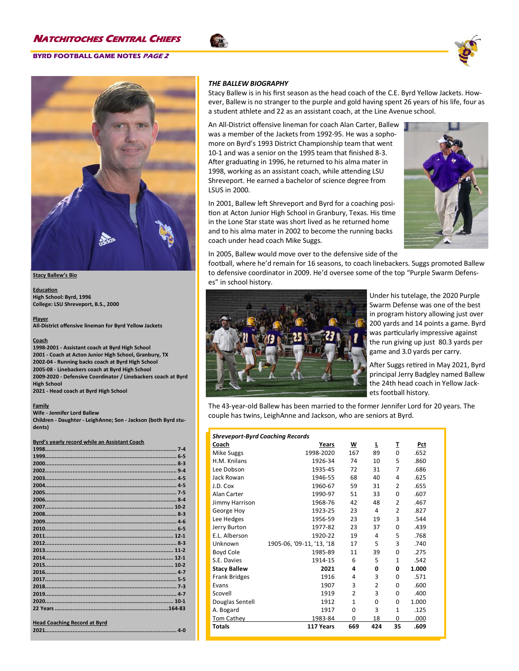

### **Stacy Ballew's Bio**

**Education High School: Byrd, 1996 College: LSU Shreveport, B.S., 2000**

**Player All-District offensive lineman for Byrd Yellow Jackets**

### **Coach**

**-2001 - Assistant coach at Byrd High School - Coach at Acton Junior High School, Granbury, TX -04 - Running backs coach at Byrd High School -08 - Linebackers coach at Byrd High School -2020 - Defensive Coordinator / Linebackers coach at Byrd High School - Head coach at Byrd High School**

**Family**

### **Wife - Jennifer Lord Ballew**

**Children - Daughter - LeighAnne; Son - Jackson (both Byrd students)**

### **Byrd's yearly record while an Assistant Coach**

| <b>Head Coaching Record at Byrd</b> |  |
|-------------------------------------|--|
|                                     |  |

### *THE BALLEW BIOGRAPHY*

Stacy Ballew is in his first season as the head coach of the C.E. Byrd Yellow Jackets. However, Ballew is no stranger to the purple and gold having spent 26 years of his life, four as a student athlete and 22 as an assistant coach, at the Line Avenue school.

An All-District offensive lineman for coach Alan Carter, Ballew was a member of the Jackets from 1992-95. He was a sophomore on Byrd's 1993 District Championship team that went 10-1 and was a senior on the 1995 team that finished 8-3. After graduating in 1996, he returned to his alma mater in 1998, working as an assistant coach, while attending LSU Shreveport. He earned a bachelor of science degree from LSUS in 2000.

In 2001, Ballew left Shreveport and Byrd for a coaching position at Acton Junior High School in Granbury, Texas. His time in the Lone Star state was short lived as he returned home and to his alma mater in 2002 to become the running backs coach under head coach Mike Suggs.



In 2005, Ballew would move over to the defensive side of the

football, where he'd remain for 16 seasons, to coach linebackers. Suggs promoted Ballew to defensive coordinator in 2009. He'd oversee some of the top "Purple Swarm Defenses" in school history.



Under his tutelage, the 2020 Purple Swarm Defense was one of the best in program history allowing just over 200 yards and 14 points a game. Byrd was particularly impressive against the run giving up just 80.3 yards per game and 3.0 yards per carry.

After Suggs retired in May 2021, Byrd principal Jerry Badgley named Ballew the 24th head coach in Yellow Jackets football history.

The 43-year-old Ballew has been married to the former Jennifer Lord for 20 years. The couple has twins, LeighAnne and Jackson, who are seniors at Byrd.

| <b>Shreveport-Byrd Coaching Records</b> |                           |                |                |                |       |
|-----------------------------------------|---------------------------|----------------|----------------|----------------|-------|
| Coach                                   | Years                     | W              | L              | I              | Pct   |
| <b>Mike Suggs</b>                       | 1998-2020                 | 167            | 89             | $\Omega$       | .652  |
| H.M. Knilans                            | 1926-34                   | 74             | 10             | 5              | .860  |
| Lee Dobson                              | 1935-45                   | 72             | 31             | $\overline{7}$ | .686  |
| Jack Rowan                              | 1946-55                   | 68             | 40             | 4              | .625  |
| J.D. Cox                                | 1960-67                   | 59             | 31             | $\overline{2}$ | .655  |
| Alan Carter                             | 1990-97                   | 51             | 33             | $\Omega$       | .607  |
| Jimmy Harrison                          | 1968-76                   | 42             | 48             | $\overline{2}$ | .467  |
| George Hoy                              | 1923-25                   | 23             | 4              | $\overline{2}$ | .827  |
| Lee Hedges                              | 1956-59                   | 23             | 19             | 3              | .544  |
| Jerry Burton                            | 1977-82                   | 23             | 37             | $\Omega$       | .439  |
| E.L. Alberson                           | 1920-22                   | 19             | 4              | 5              | .768  |
| Unknown                                 | 1905-06, '09-11, '13, '18 | 17             | 5              | 3              | .740  |
| <b>Boyd Cole</b>                        | 1985-89                   | 11             | 39             | $\Omega$       | .275  |
| S.E. Davies                             | 1914-15                   | 6              | 5              | $\mathbf{1}$   | .542  |
| <b>Stacy Ballew</b>                     | 2021                      | 4              | O              | 0              | 1.000 |
| <b>Frank Bridges</b>                    | 1916                      | 4              | 3              | $\Omega$       | .571  |
| Evans                                   | 1907                      | 3              | $\overline{2}$ | $\Omega$       | .600  |
| Scovell                                 | 1919                      | $\mathfrak{p}$ | 3              | $\Omega$       | .400  |
| Douglas Sentell                         | 1912                      | 1              | O              | $\Omega$       | 1.000 |
| A. Bogard                               | 1917                      | O              | 3              | 1              | .125  |
| Tom Cathey                              | 1983-84                   | 0              | 18             | 0              | .000  |
| <b>Totals</b>                           | 117 Years                 | 669            | 424            | 35             | .609  |

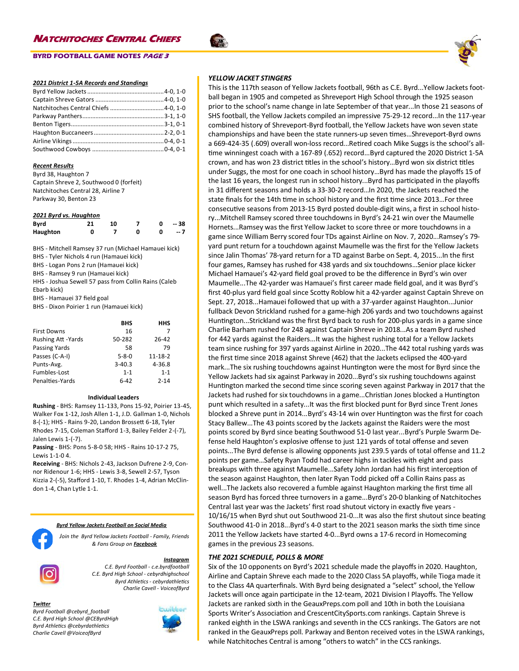### **BYRD FOOTBALL GAME NOTES PAGE 3**

### *2021 District 1-5A Records and Standings*

### *Recent Results*

Byrd 38, Haughton 7 Captain Shreve 2, Southwood 0 (forfeit) Natchitoches Central 28, Airline 7 Parkway 30, Benton 23

| 2021 Byrd vs. Haughton |    |     |   |   |       |
|------------------------|----|-----|---|---|-------|
| Bvrd                   | 21 | 10. |   |   | -- 38 |
| Haughton               | 0  |     | o | n | $-7$  |

BHS - Mitchell Ramsey 37 run (Michael Hamauei kick)

BHS - Tyler Nichols 4 run (Hamauei kick)

BHS - Logan Pons 2 run (Hamauei kick) BHS - Ramsey 9 run (Hamauei kick)

HHS - Joshua Sewell 57 pass from Collin Rains (Caleb

Ebarb kick)

BHS - Hamauei 37 field goal

BHS - Dixon Poirier 1 run (Hamauei kick)

|                           | BHS         | <b>HHS</b>    |
|---------------------------|-------------|---------------|
| <b>First Downs</b>        | 16          |               |
| <b>Rushing Att -Yards</b> | 50-282      | 26-42         |
| <b>Passing Yards</b>      | 58          | 79            |
| Passes (C-A-I)            | $5 - 8 - 0$ | $11 - 18 - 2$ |
| Punts-Avg.                | $3 - 40.3$  | 4-36.8        |
| Fumbles-Lost              | $1 - 1$     | $1 - 1$       |
| Penalties-Yards           | 6-42        | $2 - 14$      |

### **Individual Leaders**

**Rushing** - BHS: Ramsey 11-133, Pons 15-92, Poirier 13-45, Walker Fox 1-12, Josh Allen 1-1, J.D. Gallman 1-0, Nichols 8-(-1); HHS - Rains 9-20, Landon Brossett 6-18, Tyler Rhodes 7-15, Coleman Stafford 1-3, Bailey Felder 2-(-7), Jalen Lewis 1-(-7).

**Passing** - BHS: Pons 5-8-0 58; HHS - Rains 10-17-2 75, Lewis 1-1-0 4.

**Receiving** - BHS: Nichols 2-43, Jackson Dufrene 2-9, Connor Ridenour 1-6; HHS - Lewis 3-8, Sewell 2-57, Tyson Kizzia 2-(-5), Stafford 1-10, T. Rhodes 1-4, Adrian McClindon 1-4, Chan Lytle 1-1.

### *Byrd Yellow Jackets Football on Social Media*

*Join the Byrd Yellow Jackets Football - Family, Friends & Fans Group on Facebook*



*Instagram C.E. Byrd Football - c.e.byrdfootball C.E. Byrd High School - cebyrdhighschool Byrd Athletics - cebyrdathletics Charlie Cavell - VoiceofByrd*

### *Twitter*

*Byrd Football @cebyrd\_football C.E. Byrd High School @CEByrdHigh Byrd Athletics @cebyrdathletics Charlie Cavell @VoiceofByrd*



### *YELLOW JACKET STINGERS*

This is the 117th season of Yellow Jackets football, 96th as C.E. Byrd...Yellow Jackets football began in 1905 and competed as Shreveport High School through the 1925 season prior to the school's name change in late September of that year...In those 21 seasons of SHS football, the Yellow Jackets compiled an impressive 75-29-12 record...In the 117-year combined history of Shreveport-Byrd football, the Yellow Jackets have won seven state championships and have been the state runners-up seven times…Shreveport-Byrd owns a 669-424-35 (.609) overall won-loss record...Retired coach Mike Suggs is the school's alltime winningest coach with a 167-89 (.652) record...Byrd captured the 2020 District 1-5A crown, and has won 23 district titles in the school's history…Byrd won six district titles under Suggs, the most for one coach in school history…Byrd has made the playoffs 15 of the last 16 years, the longest run in school history...Byrd has participated in the playoffs in 31 different seasons and holds a 33-30-2 record…In 2020, the Jackets reached the state finals for the 14th time in school history and the first time since 2013…For three consecutive seasons from 2013-15 Byrd posted double-digit wins, a first in school history...Mitchell Ramsey scored three touchdowns in Byrd's 24-21 win over the Maumelle Hornets...Ramsey was the first Yellow Jacket to score three or more touchdowns in a game since William Berry scored four TDs against Airline on Nov. 7, 2020...Ramsey's 79 yard punt return for a touchdown against Maumelle was the first for the Yellow Jackets since Jalin Thomas' 78-yard return for a TD against Barbe on Sept. 4, 2015...In the first four games, Ramsey has rushed for 438 yards and six touchdowns…Senior place kicker Michael Hamauei's 42-yard field goal proved to be the difference in Byrd's win over Maumelle...The 42-yarder was Hamauei's first career made field goal, and it was Byrd's first 40-plus yard field goal since Scotty Roblow hit a 42-yarder against Captain Shreve on Sept. 27, 2018...Hamauei followed that up with a 37-yarder against Haughton...Junior fullback Devon Strickland rushed for a game-high 206 yards and two touchdowns against Huntington...Strickland was the first Byrd back to rush for 200-plus yards in a game since Charlie Barham rushed for 248 against Captain Shreve in 2018...As a team Byrd rushed for 442 yards against the Raiders...It was the highest rushing total for a Yellow Jackets team since rushing for 397 yards against Airline in 2020...The 442 total rushing yards was the first time since 2018 against Shreve (462) that the Jackets eclipsed the 400-yard mark...The six rushing touchdowns against Huntington were the most for Byrd since the Yellow Jackets had six against Parkway in 2020...Byrd's six rushing touchdowns against Huntington marked the second time since scoring seven against Parkway in 2017 that the Jackets had rushed for six touchdowns in a game...Christian Jones blocked a Huntington punt which resulted in a safety...It was the first blocked punt for Byrd since Trent Jones blocked a Shreve punt in 2014...Byrd's 43-14 win over Huntington was the first for coach Stacy Ballew...The 43 points scored by the Jackets against the Raiders were the most points scored by Byrd since beating Southwood 51-0 last year...Byrd's Purple Swarm Defense held Haughton's explosive offense to just 121 yards of total offense and seven points...The Byrd defense is allowing opponents just 239.5 yards of total offense and 11.2 points per game…Safety Ryan Todd had career highs in tackles with eight and pass breakups with three against Maumelle...Safety John Jordan had his first interception of the season against Haughton, then later Ryan Todd picked off a Collin Rains pass as well...The Jackets also recovered a fumble against Haughton marking the first time all season Byrd has forced three turnovers in a game...Byrd's 20-0 blanking of Natchitoches Central last year was the Jackets' first road shutout victory in exactly five years - 10/16/15 when Byrd shut out Southwood 21-0...It was also the first shutout since beating Southwood 41-0 in 2018...Byrd's 4-0 start to the 2021 season marks the sixth time since 2011 the Yellow Jackets have started 4-0...Byrd owns a 17-6 record in Homecoming games in the previous 23 seasons.

### *THE 2021 SCHEDULE, POLLS & MORE*

Six of the 10 opponents on Byrd's 2021 schedule made the playoffs in 2020. Haughton, Airline and Captain Shreve each made to the 2020 Class 5A playoffs, while Tioga made it to the Class 4A quarterfinals. With Byrd being designated a "select" school, the Yellow Jackets will once again participate in the 12-team, 2021 Division I Playoffs. The Yellow Jackets are ranked sixth in the GeauxPreps.com poll and 10th in both the Louisiana Sports Writer's Association and CrescentCitySports.com rankings. Captain Shreve is ranked eighth in the LSWA rankings and seventh in the CCS rankings. The Gators are not ranked in the GeauxPreps poll. Parkway and Benton received votes in the LSWA rankings, while Natchitoches Central is among "others to watch" in the CCS rankings.

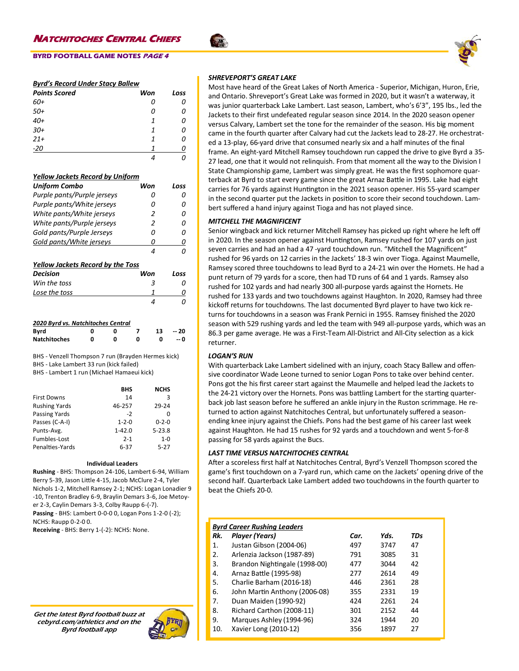# *Byrd's Record Under Stacy Ballew*

| <b>Points Scored</b> | Won | Loss |
|----------------------|-----|------|
| 60+                  | Ω   | 0    |
| $50+$                | 0   | Ω    |
| $40+$                | 1   | 0    |
| $30+$                | 1   | 0    |
| $21+$                | 1   | 0    |
| $-20$                |     |      |
|                      |     |      |

### *Yellow Jackets Record by Uniform*

| Uniform Combo                            |        | Won |                | Loss |
|------------------------------------------|--------|-----|----------------|------|
| Purple pants/Purple jerseys              |        |     | 0              | 0    |
| Purple pants/White jerseys               |        |     | n              | Ω    |
| White pants/White jerseys                |        |     | 2              | Ω    |
| White pants/Purple jerseys               |        |     | $\overline{2}$ | Ω    |
| Gold pants/Purple Jerseys                |        |     | Ω              | n    |
| Gold pants/White jerseys                 |        |     | 0              | 0    |
|                                          |        |     | 4              | n    |
| <b>Yellow Jackets Record by the Toss</b> |        |     |                |      |
|                                          |        |     |                |      |
| Decision                                 |        | Won |                | Loss |
| Win the toss                             |        |     | 3              | n    |
| Lose the toss                            |        |     | 1              |      |
|                                          |        |     | 4              | n    |
| 2020 Byrd vs. Natchitoches Central       |        |     |                |      |
| Byrd                                     | Ω<br>ŋ | 7   | 13             | - 20 |
| <b>Natchitoches</b>                      | O<br>ŋ | ŋ   | O              | -- 0 |

BHS - Lake Lambert 33 run (kick failed)

| BHS - Lambert 1 run (Michael Hamaeui kick) |  |
|--------------------------------------------|--|
|--------------------------------------------|--|

| <b>NCHS</b> |
|-------------|
| 3           |
| 29-24       |
| O           |
| $0 - 2 - 0$ |
| $5 - 23.8$  |
| $1 - 0$     |
| $5 - 27$    |
|             |

### **Individual Leaders**

**Rushing** - BHS: Thompson 24-106, Lambert 6-94, William Berry 5-39, Jason Little 4-15, Jacob McClure 2-4, Tyler Nichols 1-2, Mitchell Ramsey 2-1; NCHS: Logan Lonadier 9 -10, Trenton Bradley 6-9, Braylin Demars 3-6, Joe Metoyer 2-3, Caylin Demars 3-3, Colby Raupp 6-(-7). **Passing** - BHS: Lambert 0-0-0 0, Logan Pons 1-2-0 (-2); NCHS: Raupp 0-2-0 0.

**Receiving** - BHS: Berry 1-(-2): NCHS: None.

Get the latest Byrd football buzz at cebyrd.com/athletics and on the Byrd football app



### *SHREVEPORT'S GREAT LAKE*

Most have heard of the Great Lakes of North America - Superior, Michigan, Huron, Erie, and Ontario. Shreveport's Great Lake was formed in 2020, but it wasn't a waterway, it was junior quarterback Lake Lambert. Last season, Lambert, who's 6'3", 195 lbs., led the Jackets to their first undefeated regular season since 2014. In the 2020 season opener versus Calvary, Lambert set the tone for the remainder of the season. His big moment came in the fourth quarter after Calvary had cut the Jackets lead to 28-27. He orchestrated a 13-play, 66-yard drive that consumed nearly six and a half minutes of the final frame. An eight-yard Mitchell Ramsey touchdown run capped the drive to give Byrd a 35- 27 lead, one that it would not relinquish. From that moment all the way to the Division I State Championship game, Lambert was simply great. He was the first sophomore quarterback at Byrd to start every game since the great Arnaz Battle in 1995. Lake had eight carries for 76 yards against Huntington in the 2021 season opener. His 55-yard scamper in the second quarter put the Jackets in position to score their second touchdown. Lambert suffered a hand injury against Tioga and has not played since.

### *MITCHELL THE MAGNIFICENT*

Senior wingback and kick returner Mitchell Ramsey has picked up right where he left off in 2020. In the season opener against Huntington, Ramsey rushed for 107 yards on just seven carries and had an had a 47 -yard touchdown run. "Mitchell the Magnificent" rushed for 96 yards on 12 carries in the Jackets' 18-3 win over Tioga. Against Maumelle, Ramsey scored three touchdowns to lead Byrd to a 24-21 win over the Hornets. He had a punt return of 79 yards for a score, then had TD runs of 64 and 1 yards. Ramsey also rushed for 102 yards and had nearly 300 all-purpose yards against the Hornets. He rushed for 133 yards and two touchdowns against Haughton. In 2020, Ramsey had three kickoff returns for touchdowns. The last documented Byrd player to have two kick returns for touchdowns in a season was Frank Pernici in 1955. Ramsey finished the 2020 season with 529 rushing yards and led the team with 949 all-purpose yards, which was an 86.3 per game average. He was a First-Team All-District and All-City selection as a kick returner.

### *LOGAN'S RUN*

With quarterback Lake Lambert sidelined with an injury, coach Stacy Ballew and offensive coordinator Wade Leone turned to senior Logan Pons to take over behind center. Pons got the his first career start against the Maumelle and helped lead the Jackets to the 24-21 victory over the Hornets. Pons was battling Lambert for the starting quarterback job last season before he suffered an ankle injury in the Ruston scrimmage. He returned to action against Natchitoches Central, but unfortunately suffered a seasonending knee injury against the Chiefs. Pons had the best game of his career last week against Haughton. He had 15 rushes for 92 yards and a touchdown and went 5-for-8 passing for 58 yards against the Bucs.

### *LAST TIME VERSUS NATCHITOCHES CENTRAL*

After a scoreless first half at Natchitoches Central, Byrd's Venzell Thompson scored the game's first touchdown on a 7-yard run, which came on the Jackets' opening drive of the second half. Quarterback Lake Lambert added two touchdowns in the fourth quarter to beat the Chiefs 20-0.

# *Byrd Career Rushing Leaders*

| Rk. | Player (Years)                | Car. | Yds. | TDs |
|-----|-------------------------------|------|------|-----|
| 1.  | Justan Gibson (2004-06)       | 497  | 3747 | 47  |
| 2.  | Arlenzia Jackson (1987-89)    | 791  | 3085 | 31  |
| 3.  | Brandon Nightingale (1998-00) | 477  | 3044 | 42  |
| 4.  | Arnaz Battle (1995-98)        | 277  | 2614 | 49  |
| 5.  | Charlie Barham (2016-18)      | 446  | 2361 | 28  |
| 6.  | John Martin Anthony (2006-08) | 355  | 2331 | 19  |
| 7.  | Duan Maiden (1990-92)         | 424  | 2261 | 24  |
| 8.  | Richard Carthon (2008-11)     | 301  | 2152 | 44  |
| 9.  | Marques Ashley (1994-96)      | 324  | 1944 | 20  |
| 10. | Xavier Long (2010-12)         | 356  | 1897 | 27  |

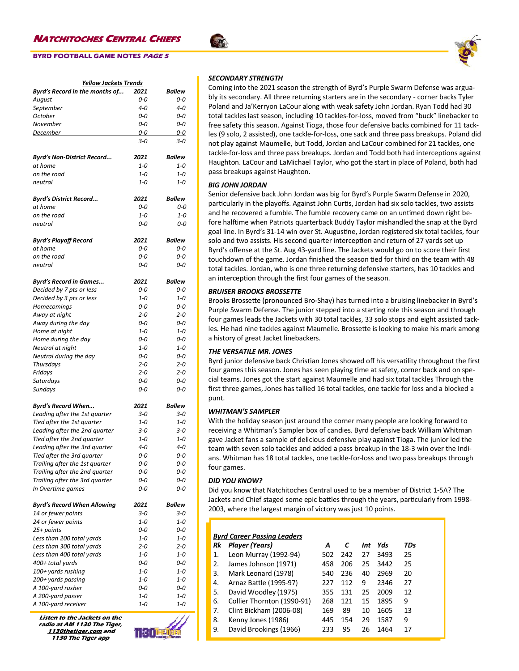# **BYRD FOOTBALL GAME NOTES PAGE 5**

| <b>Yellow Jackets Trends</b>       |         |               |  |  |  |
|------------------------------------|---------|---------------|--|--|--|
| Byrd's Record in the months of     | 2021    | Ballew        |  |  |  |
| August                             | 0-0     | 0-0           |  |  |  |
| September                          | $4 - 0$ | 4-0           |  |  |  |
| October                            | 0-0     | $0-0$         |  |  |  |
| November                           | 0-0     | 0-0           |  |  |  |
| December                           | 0-0     | 0-0           |  |  |  |
|                                    |         |               |  |  |  |
|                                    | 3-0     | 3-0           |  |  |  |
| Byrd's Non-District Record         | 2021    | <b>Ballew</b> |  |  |  |
| at home                            | $1 - 0$ | $1 - 0$       |  |  |  |
| on the road                        | $1 - 0$ | $1 - 0$       |  |  |  |
| neutral                            | 1-0     | $1 - 0$       |  |  |  |
| <b>Byrd's District Record</b>      | 2021    | <b>Ballew</b> |  |  |  |
| at home                            | 0-0     | 0-0           |  |  |  |
| on the road                        | $1 - 0$ | $1 - 0$       |  |  |  |
| neutral                            | 0-0     | 0-0           |  |  |  |
|                                    |         |               |  |  |  |
| <b>Byrd's Playoff Record</b>       | 2021    | <b>Ballew</b> |  |  |  |
| at home                            | $0 - 0$ | $0-0$         |  |  |  |
| on the road                        | 0-0     | 0-0           |  |  |  |
| neutral                            | 0-0     | $O-O$         |  |  |  |
|                                    |         |               |  |  |  |
| <b>Byrd's Record in Games</b>      | 2021    | Ballew        |  |  |  |
| Decided by 7 pts or less           | $0 - 0$ | 0-0           |  |  |  |
| Decided by 3 pts or less           | $1 - 0$ | $1 - 0$       |  |  |  |
| Homecomings                        | 0-0     | 0-0           |  |  |  |
| Away at night                      | $2 - 0$ | $2 - 0$       |  |  |  |
| Away during the day                | 0-0     | 0-0           |  |  |  |
| Home at night                      | $1 - 0$ | $1 - 0$       |  |  |  |
| Home during the day                | 0-0     | 0-0           |  |  |  |
| Neutral at night                   | $1 - 0$ | 1-0           |  |  |  |
| Neutral during the day             | 0-0     | 0-0           |  |  |  |
| Thursdays                          | $2 - 0$ | $2 - 0$       |  |  |  |
| Fridays                            | $2 - 0$ | $2 - 0$       |  |  |  |
| Saturdays                          | 0-0     | 0-0           |  |  |  |
| Sundays                            | 0-0     | 0-0           |  |  |  |
| <b>Byrd's Record When</b>          | 2021    | <b>Ballew</b> |  |  |  |
| Leading after the 1st quarter      | $3 - 0$ | $3 - 0$       |  |  |  |
| Tied after the 1st quarter         | $1 - 0$ | $1 - 0$       |  |  |  |
| Leading after the 2nd quarter      | $3 - 0$ | $3 - 0$       |  |  |  |
| Tied after the 2nd quarter         | $1 - 0$ | $1 - 0$       |  |  |  |
| Leading after the 3rd quarter      | 4-0     | $4 - 0$       |  |  |  |
| Tied after the 3rd quarter         | 0-0     | 0-0           |  |  |  |
| Trailing after the 1st quarter     | 0-0     | 0-0           |  |  |  |
| Trailing after the 2nd quarter     | 0-0     | $0 - 0$       |  |  |  |
| Trailing after the 3rd quarter     | 0-0     | 0-0           |  |  |  |
| In Overtime games                  | 0-0     | 0-0           |  |  |  |
|                                    |         |               |  |  |  |
| <b>Byrd's Record When Allowing</b> | 2021    | <b>Ballew</b> |  |  |  |
| 14 or fewer points                 | $3 - 0$ | $3 - 0$       |  |  |  |
| 24 or fewer points                 | 1-0     | $1 - 0$       |  |  |  |
| 25+ points                         | 0-0     | 0-0           |  |  |  |
| Less than 200 total yards          | $1 - 0$ | $1 - 0$       |  |  |  |
| Less than 300 total yards          | $2 - 0$ | $2 - 0$       |  |  |  |
| Less than 400 total yards          | 1-0     | $1 - 0$       |  |  |  |
| 400+ total yards                   | 0-0     | 0-0           |  |  |  |
| 100+ yards rushing                 | 1-0     | $1 - 0$       |  |  |  |
| 200+ yards passing                 | 1-0     | $1 - 0$       |  |  |  |
| A 100-yard rusher                  | 0-0     | 0-0           |  |  |  |
| A 200-yard passer                  | 1-0     | 1-0           |  |  |  |
| A 100-yard receiver                | 1-0     | $1 - 0$       |  |  |  |

**Listen to the Jackets on the radio at AM 1130 The Tiger, 1130thetiger.com and 1130 The Tiger app**



### *SECONDARY STRENGTH*

Coming into the 2021 season the strength of Byrd's Purple Swarm Defense was arguably its secondary. All three returning starters are in the secondary - corner backs Tyler Poland and Ja'Kerryon LaCour along with weak safety John Jordan. Ryan Todd had 30 total tackles last season, including 10 tackles-for-loss, moved from "buck" linebacker to free safety this season. Against Tioga, those four defensive backs combined for 11 tackles (9 solo, 2 assisted), one tackle-for-loss, one sack and three pass breakups. Poland did not play against Maumelle, but Todd, Jordan and LaCour combined for 21 tackles, one tackle-for-loss and three pass breakups. Jordan and Todd both had interceptions against Haughton. LaCour and LaMichael Taylor, who got the start in place of Poland, both had pass breakups against Haughton.

### *BIG JOHN JORDAN*

Senior defensive back John Jordan was big for Byrd's Purple Swarm Defense in 2020, particularly in the playoffs. Against John Curtis, Jordan had six solo tackles, two assists and he recovered a fumble. The fumble recovery came on an untimed down right before halftime when Patriots quarterback Buddy Taylor mishandled the snap at the Byrd goal line. In Byrd's 31-14 win over St. Augustine, Jordan registered six total tackles, four solo and two assists. His second quarter interception and return of 27 yards set up Byrd's offense at the St. Aug 43-yard line. The Jackets would go on to score their first touchdown of the game. Jordan finished the season tied for third on the team with 48 total tackles. Jordan, who is one three returning defensive starters, has 10 tackles and an interception through the first four games of the season.

### *BRUISER BROOKS BROSSETTE*

Brooks Brossette (pronounced Bro-Shay) has turned into a bruising linebacker in Byrd's Purple Swarm Defense. The junior stepped into a starting role this season and through four games leads the Jackets with 30 total tackles, 33 solo stops and eight assisted tackles. He had nine tackles against Maumelle. Brossette is looking to make his mark among a history of great Jacket linebackers.

## *THE VERSATILE MR. JONES*

Byrd junior defensive back Christian Jones showed off his versatility throughout the first four games this season. Jones has seen playing time at safety, corner back and on special teams. Jones got the start against Maumelle and had six total tackles Through the first three games, Jones has tallied 16 total tackles, one tackle for loss and a blocked a punt.

### *WHITMAN'S SAMPLER*

With the holiday season just around the corner many people are looking forward to receiving a Whitman's Sampler box of candies. Byrd defensive back William Whitman gave Jacket fans a sample of delicious defensive play against Tioga. The junior led the team with seven solo tackles and added a pass breakup in the 18-3 win over the Indians. Whitman has 18 total tackles, one tackle-for-loss and two pass breakups through four games.

### *DID YOU KNOW?*

Did you know that Natchitoches Central used to be a member of District 1-5A? The Jackets and Chief staged some epic battles through the years, particularly from 1998- 2003, where the largest margin of victory was just 10 points.

| <b>Byrd Career Passing Leaders</b> |                            |     |     |     |      |     |  |
|------------------------------------|----------------------------|-----|-----|-----|------|-----|--|
| Rk                                 | Player (Years)             | A   | C   | Int | Yds  | TDs |  |
| 1.                                 | Leon Murray (1992-94)      | 502 | 242 | 27  | 3493 | 25  |  |
| 2.                                 | James Johnson (1971)       | 458 | 206 | 25  | 3442 | 25  |  |
| 3.                                 | Mark Leonard (1978)        | 540 | 236 | 40  | 2969 | 20  |  |
| 4.                                 | Arnaz Battle (1995-97)     | 227 | 112 | 9   | 2346 | 27  |  |
| 5.                                 | David Woodley (1975)       | 355 | 131 | 25  | 2009 | 12  |  |
| 6.                                 | Collier Thornton (1990-91) | 268 | 121 | 15  | 1895 | 9   |  |
| 7.                                 | Clint Bickham (2006-08)    | 169 | 89  | 10  | 1605 | 13  |  |
| 8.                                 | Kenny Jones (1986)         | 445 | 154 | 29  | 1587 | 9   |  |
| 9.                                 | David Brookings (1966)     | 233 | 95  | 26  | 1464 | 17  |  |

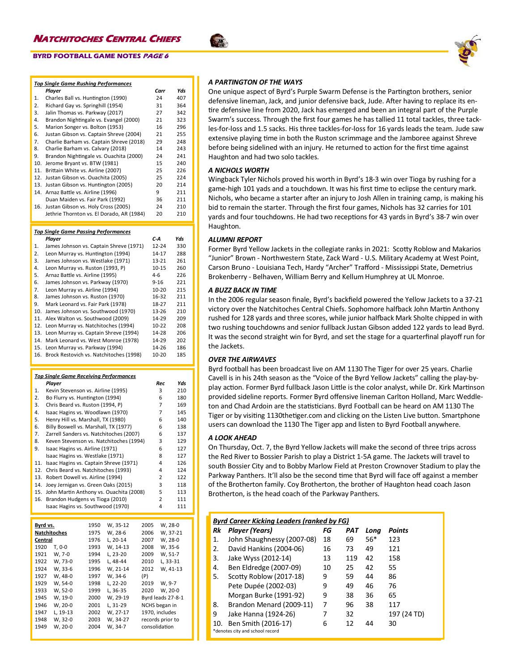| <b>Top Single Game Rushing Performances</b><br>Player<br>Yds<br>Carr<br>Charles Ball vs. Huntington (1990)<br>407<br>1.<br>24<br>2.<br>Richard Gay vs. Springhill (1954)<br>364<br>31<br>3.<br>Jalin Thomas vs. Parkway (2017)<br>27<br>342<br>4.<br>Brandon Nightingale vs. Evangel (2000)<br>21<br>323<br>5.<br>Marion Songer vs. Bolton (1953)<br>16<br>296<br>Justan Gibson vs. Captain Shreve (2004)<br>21<br>255<br>6.<br>7.<br>Charlie Barham vs. Captain Shreve (2018)<br>29<br>248<br>Charlie Barham vs. Calvary (2018)<br>243<br>8.<br>14<br>9.<br>Brandon Nightingale vs. Ouachita (2000)<br>24<br>241<br>10.<br>Jerome Bryant vs. BTW (1981)<br>15<br>240<br>11.<br>Brittain White vs. Airline (2007)<br>25<br>226<br>12.<br>Justan Gibson vs. Ouachita (2005)<br>25<br>224<br>13.<br>Justan Gibson vs. Huntington (2005)<br>20<br>214<br>Arnaz Battle vs. Airline (1996)<br>9<br>14.<br>211<br>Duan Maiden vs. Fair Park (1992)<br>36<br>211<br>Justan Gibson vs. Holy Cross (2005)<br>24<br>210<br>16.<br>Jethrie Thornton vs. El Dorado, AR (1984)<br>20<br>210<br><b>Top Single Game Passing Performances</b><br>C-A<br>Yds<br>Player<br>James Johnson vs. Captain Shreve (1971)<br>12-24<br>330<br>1.<br>2.<br>Leon Murray vs. Huntington (1994)<br>14-17<br>288<br>James Johnson vs. Westlake (1971)<br>13-21<br>261<br>3.<br>10-15<br>4.<br>Leon Murray vs. Ruston (1993, P)<br>260<br>Arnaz Battle vs. Airline (1995)<br>5.<br>4-6<br>226<br>James Johnson vs. Parkway (1970)<br>$9 - 16$<br>6.<br>221<br>Leon Murray vs. Airline (1994)<br>10-20<br>215<br>7.<br>James Johnson vs. Ruston (1970)<br>16-32<br>211<br>8.<br>9.<br>Mark Leonard vs. Fair Park (1978)<br>18-27<br>211<br>10.<br>James Johnson vs. Southwood (1970)<br>13-26<br>210<br>11.<br>Alex Walton vs. Southwood (2009)<br>14-29<br>209<br>12.<br>Leon Murray vs. Natchitoches (1994)<br>10-22<br>208<br>13.<br>Leon Murray vs. Captain Shreve (1994)<br>14-28<br>206<br>14.<br>Mark Leonard vs. West Monroe (1978)<br>14-29<br>202<br>15.<br>Leon Murray vs. Parkway (1994)<br>14-26<br>186<br>16.<br>Brock Restovich vs. Natchitoches (1998)<br>10-20<br>185<br><b>Top Single Game Receiving Performances</b><br>Player<br>Rec<br>Yds<br>Kevin Stevenson vs. Airline (1995)<br>3<br>210<br>1.<br>Bo Flurry vs. Huntington (1994)<br>6<br>180<br>2.<br>7<br>3.<br>Chris Beard vs. Ruston (1994, P)<br>169<br>7<br>4.<br>Isaac Hagins vs. Woodlawn (1970)<br>145<br>5.<br>Henry Hill vs. Marshall, TX (1980)<br>6<br>140<br>Billy Boswell vs. Marshall, TX (1977)<br>6<br>6.<br>138<br>Zarrell Sanders vs. Natchitoches (2007)<br>7.<br>6<br>137<br>Keven Stevenson vs. Natchitoches (1994)<br>3<br>129<br>8.<br>9.<br>Isaac Hagins vs. Airline (1971)<br>6<br>127<br>Isaac Hagins vs. Westlake (1971)<br>8<br>127<br>Isaac Hagins vs. Captain Shreve (1971)<br>4<br>126<br>11.<br>Chris Beard vs. Natchitoches (1993)<br>4<br>12.<br>124<br>13.<br>Robert Dowell vs. Airline (1994)<br>2<br>122<br>14.<br>Joey Jernigan vs. Green Oaks (2015)<br>3<br>118<br>John Martin Anthony vs. Ouachita (2008)<br>5<br>15.<br>113<br>2<br>16.<br>Brandon Hudgens vs Tioga (2010)<br>111<br>Isaac Hagins vs. Southwood (1970)<br>4<br>111 |  |  |
|------------------------------------------------------------------------------------------------------------------------------------------------------------------------------------------------------------------------------------------------------------------------------------------------------------------------------------------------------------------------------------------------------------------------------------------------------------------------------------------------------------------------------------------------------------------------------------------------------------------------------------------------------------------------------------------------------------------------------------------------------------------------------------------------------------------------------------------------------------------------------------------------------------------------------------------------------------------------------------------------------------------------------------------------------------------------------------------------------------------------------------------------------------------------------------------------------------------------------------------------------------------------------------------------------------------------------------------------------------------------------------------------------------------------------------------------------------------------------------------------------------------------------------------------------------------------------------------------------------------------------------------------------------------------------------------------------------------------------------------------------------------------------------------------------------------------------------------------------------------------------------------------------------------------------------------------------------------------------------------------------------------------------------------------------------------------------------------------------------------------------------------------------------------------------------------------------------------------------------------------------------------------------------------------------------------------------------------------------------------------------------------------------------------------------------------------------------------------------------------------------------------------------------------------------------------------------------------------------------------------------------------------------------------------------------------------------------------------------------------------------------------------------------------------------------------------------------------------------------------------------------------------------------------------------------------------------------------------------------------------------------------------------------------------------------------------------------------------------------------------------------------------------------------------------------------------------------------------|--|--|
|                                                                                                                                                                                                                                                                                                                                                                                                                                                                                                                                                                                                                                                                                                                                                                                                                                                                                                                                                                                                                                                                                                                                                                                                                                                                                                                                                                                                                                                                                                                                                                                                                                                                                                                                                                                                                                                                                                                                                                                                                                                                                                                                                                                                                                                                                                                                                                                                                                                                                                                                                                                                                                                                                                                                                                                                                                                                                                                                                                                                                                                                                                                                                                                                                        |  |  |
|                                                                                                                                                                                                                                                                                                                                                                                                                                                                                                                                                                                                                                                                                                                                                                                                                                                                                                                                                                                                                                                                                                                                                                                                                                                                                                                                                                                                                                                                                                                                                                                                                                                                                                                                                                                                                                                                                                                                                                                                                                                                                                                                                                                                                                                                                                                                                                                                                                                                                                                                                                                                                                                                                                                                                                                                                                                                                                                                                                                                                                                                                                                                                                                                                        |  |  |
|                                                                                                                                                                                                                                                                                                                                                                                                                                                                                                                                                                                                                                                                                                                                                                                                                                                                                                                                                                                                                                                                                                                                                                                                                                                                                                                                                                                                                                                                                                                                                                                                                                                                                                                                                                                                                                                                                                                                                                                                                                                                                                                                                                                                                                                                                                                                                                                                                                                                                                                                                                                                                                                                                                                                                                                                                                                                                                                                                                                                                                                                                                                                                                                                                        |  |  |
|                                                                                                                                                                                                                                                                                                                                                                                                                                                                                                                                                                                                                                                                                                                                                                                                                                                                                                                                                                                                                                                                                                                                                                                                                                                                                                                                                                                                                                                                                                                                                                                                                                                                                                                                                                                                                                                                                                                                                                                                                                                                                                                                                                                                                                                                                                                                                                                                                                                                                                                                                                                                                                                                                                                                                                                                                                                                                                                                                                                                                                                                                                                                                                                                                        |  |  |
|                                                                                                                                                                                                                                                                                                                                                                                                                                                                                                                                                                                                                                                                                                                                                                                                                                                                                                                                                                                                                                                                                                                                                                                                                                                                                                                                                                                                                                                                                                                                                                                                                                                                                                                                                                                                                                                                                                                                                                                                                                                                                                                                                                                                                                                                                                                                                                                                                                                                                                                                                                                                                                                                                                                                                                                                                                                                                                                                                                                                                                                                                                                                                                                                                        |  |  |
|                                                                                                                                                                                                                                                                                                                                                                                                                                                                                                                                                                                                                                                                                                                                                                                                                                                                                                                                                                                                                                                                                                                                                                                                                                                                                                                                                                                                                                                                                                                                                                                                                                                                                                                                                                                                                                                                                                                                                                                                                                                                                                                                                                                                                                                                                                                                                                                                                                                                                                                                                                                                                                                                                                                                                                                                                                                                                                                                                                                                                                                                                                                                                                                                                        |  |  |
|                                                                                                                                                                                                                                                                                                                                                                                                                                                                                                                                                                                                                                                                                                                                                                                                                                                                                                                                                                                                                                                                                                                                                                                                                                                                                                                                                                                                                                                                                                                                                                                                                                                                                                                                                                                                                                                                                                                                                                                                                                                                                                                                                                                                                                                                                                                                                                                                                                                                                                                                                                                                                                                                                                                                                                                                                                                                                                                                                                                                                                                                                                                                                                                                                        |  |  |
|                                                                                                                                                                                                                                                                                                                                                                                                                                                                                                                                                                                                                                                                                                                                                                                                                                                                                                                                                                                                                                                                                                                                                                                                                                                                                                                                                                                                                                                                                                                                                                                                                                                                                                                                                                                                                                                                                                                                                                                                                                                                                                                                                                                                                                                                                                                                                                                                                                                                                                                                                                                                                                                                                                                                                                                                                                                                                                                                                                                                                                                                                                                                                                                                                        |  |  |
|                                                                                                                                                                                                                                                                                                                                                                                                                                                                                                                                                                                                                                                                                                                                                                                                                                                                                                                                                                                                                                                                                                                                                                                                                                                                                                                                                                                                                                                                                                                                                                                                                                                                                                                                                                                                                                                                                                                                                                                                                                                                                                                                                                                                                                                                                                                                                                                                                                                                                                                                                                                                                                                                                                                                                                                                                                                                                                                                                                                                                                                                                                                                                                                                                        |  |  |
|                                                                                                                                                                                                                                                                                                                                                                                                                                                                                                                                                                                                                                                                                                                                                                                                                                                                                                                                                                                                                                                                                                                                                                                                                                                                                                                                                                                                                                                                                                                                                                                                                                                                                                                                                                                                                                                                                                                                                                                                                                                                                                                                                                                                                                                                                                                                                                                                                                                                                                                                                                                                                                                                                                                                                                                                                                                                                                                                                                                                                                                                                                                                                                                                                        |  |  |
|                                                                                                                                                                                                                                                                                                                                                                                                                                                                                                                                                                                                                                                                                                                                                                                                                                                                                                                                                                                                                                                                                                                                                                                                                                                                                                                                                                                                                                                                                                                                                                                                                                                                                                                                                                                                                                                                                                                                                                                                                                                                                                                                                                                                                                                                                                                                                                                                                                                                                                                                                                                                                                                                                                                                                                                                                                                                                                                                                                                                                                                                                                                                                                                                                        |  |  |
|                                                                                                                                                                                                                                                                                                                                                                                                                                                                                                                                                                                                                                                                                                                                                                                                                                                                                                                                                                                                                                                                                                                                                                                                                                                                                                                                                                                                                                                                                                                                                                                                                                                                                                                                                                                                                                                                                                                                                                                                                                                                                                                                                                                                                                                                                                                                                                                                                                                                                                                                                                                                                                                                                                                                                                                                                                                                                                                                                                                                                                                                                                                                                                                                                        |  |  |
|                                                                                                                                                                                                                                                                                                                                                                                                                                                                                                                                                                                                                                                                                                                                                                                                                                                                                                                                                                                                                                                                                                                                                                                                                                                                                                                                                                                                                                                                                                                                                                                                                                                                                                                                                                                                                                                                                                                                                                                                                                                                                                                                                                                                                                                                                                                                                                                                                                                                                                                                                                                                                                                                                                                                                                                                                                                                                                                                                                                                                                                                                                                                                                                                                        |  |  |
|                                                                                                                                                                                                                                                                                                                                                                                                                                                                                                                                                                                                                                                                                                                                                                                                                                                                                                                                                                                                                                                                                                                                                                                                                                                                                                                                                                                                                                                                                                                                                                                                                                                                                                                                                                                                                                                                                                                                                                                                                                                                                                                                                                                                                                                                                                                                                                                                                                                                                                                                                                                                                                                                                                                                                                                                                                                                                                                                                                                                                                                                                                                                                                                                                        |  |  |
|                                                                                                                                                                                                                                                                                                                                                                                                                                                                                                                                                                                                                                                                                                                                                                                                                                                                                                                                                                                                                                                                                                                                                                                                                                                                                                                                                                                                                                                                                                                                                                                                                                                                                                                                                                                                                                                                                                                                                                                                                                                                                                                                                                                                                                                                                                                                                                                                                                                                                                                                                                                                                                                                                                                                                                                                                                                                                                                                                                                                                                                                                                                                                                                                                        |  |  |
|                                                                                                                                                                                                                                                                                                                                                                                                                                                                                                                                                                                                                                                                                                                                                                                                                                                                                                                                                                                                                                                                                                                                                                                                                                                                                                                                                                                                                                                                                                                                                                                                                                                                                                                                                                                                                                                                                                                                                                                                                                                                                                                                                                                                                                                                                                                                                                                                                                                                                                                                                                                                                                                                                                                                                                                                                                                                                                                                                                                                                                                                                                                                                                                                                        |  |  |
|                                                                                                                                                                                                                                                                                                                                                                                                                                                                                                                                                                                                                                                                                                                                                                                                                                                                                                                                                                                                                                                                                                                                                                                                                                                                                                                                                                                                                                                                                                                                                                                                                                                                                                                                                                                                                                                                                                                                                                                                                                                                                                                                                                                                                                                                                                                                                                                                                                                                                                                                                                                                                                                                                                                                                                                                                                                                                                                                                                                                                                                                                                                                                                                                                        |  |  |
|                                                                                                                                                                                                                                                                                                                                                                                                                                                                                                                                                                                                                                                                                                                                                                                                                                                                                                                                                                                                                                                                                                                                                                                                                                                                                                                                                                                                                                                                                                                                                                                                                                                                                                                                                                                                                                                                                                                                                                                                                                                                                                                                                                                                                                                                                                                                                                                                                                                                                                                                                                                                                                                                                                                                                                                                                                                                                                                                                                                                                                                                                                                                                                                                                        |  |  |
|                                                                                                                                                                                                                                                                                                                                                                                                                                                                                                                                                                                                                                                                                                                                                                                                                                                                                                                                                                                                                                                                                                                                                                                                                                                                                                                                                                                                                                                                                                                                                                                                                                                                                                                                                                                                                                                                                                                                                                                                                                                                                                                                                                                                                                                                                                                                                                                                                                                                                                                                                                                                                                                                                                                                                                                                                                                                                                                                                                                                                                                                                                                                                                                                                        |  |  |
|                                                                                                                                                                                                                                                                                                                                                                                                                                                                                                                                                                                                                                                                                                                                                                                                                                                                                                                                                                                                                                                                                                                                                                                                                                                                                                                                                                                                                                                                                                                                                                                                                                                                                                                                                                                                                                                                                                                                                                                                                                                                                                                                                                                                                                                                                                                                                                                                                                                                                                                                                                                                                                                                                                                                                                                                                                                                                                                                                                                                                                                                                                                                                                                                                        |  |  |
|                                                                                                                                                                                                                                                                                                                                                                                                                                                                                                                                                                                                                                                                                                                                                                                                                                                                                                                                                                                                                                                                                                                                                                                                                                                                                                                                                                                                                                                                                                                                                                                                                                                                                                                                                                                                                                                                                                                                                                                                                                                                                                                                                                                                                                                                                                                                                                                                                                                                                                                                                                                                                                                                                                                                                                                                                                                                                                                                                                                                                                                                                                                                                                                                                        |  |  |
|                                                                                                                                                                                                                                                                                                                                                                                                                                                                                                                                                                                                                                                                                                                                                                                                                                                                                                                                                                                                                                                                                                                                                                                                                                                                                                                                                                                                                                                                                                                                                                                                                                                                                                                                                                                                                                                                                                                                                                                                                                                                                                                                                                                                                                                                                                                                                                                                                                                                                                                                                                                                                                                                                                                                                                                                                                                                                                                                                                                                                                                                                                                                                                                                                        |  |  |
|                                                                                                                                                                                                                                                                                                                                                                                                                                                                                                                                                                                                                                                                                                                                                                                                                                                                                                                                                                                                                                                                                                                                                                                                                                                                                                                                                                                                                                                                                                                                                                                                                                                                                                                                                                                                                                                                                                                                                                                                                                                                                                                                                                                                                                                                                                                                                                                                                                                                                                                                                                                                                                                                                                                                                                                                                                                                                                                                                                                                                                                                                                                                                                                                                        |  |  |
|                                                                                                                                                                                                                                                                                                                                                                                                                                                                                                                                                                                                                                                                                                                                                                                                                                                                                                                                                                                                                                                                                                                                                                                                                                                                                                                                                                                                                                                                                                                                                                                                                                                                                                                                                                                                                                                                                                                                                                                                                                                                                                                                                                                                                                                                                                                                                                                                                                                                                                                                                                                                                                                                                                                                                                                                                                                                                                                                                                                                                                                                                                                                                                                                                        |  |  |
|                                                                                                                                                                                                                                                                                                                                                                                                                                                                                                                                                                                                                                                                                                                                                                                                                                                                                                                                                                                                                                                                                                                                                                                                                                                                                                                                                                                                                                                                                                                                                                                                                                                                                                                                                                                                                                                                                                                                                                                                                                                                                                                                                                                                                                                                                                                                                                                                                                                                                                                                                                                                                                                                                                                                                                                                                                                                                                                                                                                                                                                                                                                                                                                                                        |  |  |
|                                                                                                                                                                                                                                                                                                                                                                                                                                                                                                                                                                                                                                                                                                                                                                                                                                                                                                                                                                                                                                                                                                                                                                                                                                                                                                                                                                                                                                                                                                                                                                                                                                                                                                                                                                                                                                                                                                                                                                                                                                                                                                                                                                                                                                                                                                                                                                                                                                                                                                                                                                                                                                                                                                                                                                                                                                                                                                                                                                                                                                                                                                                                                                                                                        |  |  |
|                                                                                                                                                                                                                                                                                                                                                                                                                                                                                                                                                                                                                                                                                                                                                                                                                                                                                                                                                                                                                                                                                                                                                                                                                                                                                                                                                                                                                                                                                                                                                                                                                                                                                                                                                                                                                                                                                                                                                                                                                                                                                                                                                                                                                                                                                                                                                                                                                                                                                                                                                                                                                                                                                                                                                                                                                                                                                                                                                                                                                                                                                                                                                                                                                        |  |  |
|                                                                                                                                                                                                                                                                                                                                                                                                                                                                                                                                                                                                                                                                                                                                                                                                                                                                                                                                                                                                                                                                                                                                                                                                                                                                                                                                                                                                                                                                                                                                                                                                                                                                                                                                                                                                                                                                                                                                                                                                                                                                                                                                                                                                                                                                                                                                                                                                                                                                                                                                                                                                                                                                                                                                                                                                                                                                                                                                                                                                                                                                                                                                                                                                                        |  |  |
|                                                                                                                                                                                                                                                                                                                                                                                                                                                                                                                                                                                                                                                                                                                                                                                                                                                                                                                                                                                                                                                                                                                                                                                                                                                                                                                                                                                                                                                                                                                                                                                                                                                                                                                                                                                                                                                                                                                                                                                                                                                                                                                                                                                                                                                                                                                                                                                                                                                                                                                                                                                                                                                                                                                                                                                                                                                                                                                                                                                                                                                                                                                                                                                                                        |  |  |
|                                                                                                                                                                                                                                                                                                                                                                                                                                                                                                                                                                                                                                                                                                                                                                                                                                                                                                                                                                                                                                                                                                                                                                                                                                                                                                                                                                                                                                                                                                                                                                                                                                                                                                                                                                                                                                                                                                                                                                                                                                                                                                                                                                                                                                                                                                                                                                                                                                                                                                                                                                                                                                                                                                                                                                                                                                                                                                                                                                                                                                                                                                                                                                                                                        |  |  |
|                                                                                                                                                                                                                                                                                                                                                                                                                                                                                                                                                                                                                                                                                                                                                                                                                                                                                                                                                                                                                                                                                                                                                                                                                                                                                                                                                                                                                                                                                                                                                                                                                                                                                                                                                                                                                                                                                                                                                                                                                                                                                                                                                                                                                                                                                                                                                                                                                                                                                                                                                                                                                                                                                                                                                                                                                                                                                                                                                                                                                                                                                                                                                                                                                        |  |  |
|                                                                                                                                                                                                                                                                                                                                                                                                                                                                                                                                                                                                                                                                                                                                                                                                                                                                                                                                                                                                                                                                                                                                                                                                                                                                                                                                                                                                                                                                                                                                                                                                                                                                                                                                                                                                                                                                                                                                                                                                                                                                                                                                                                                                                                                                                                                                                                                                                                                                                                                                                                                                                                                                                                                                                                                                                                                                                                                                                                                                                                                                                                                                                                                                                        |  |  |
|                                                                                                                                                                                                                                                                                                                                                                                                                                                                                                                                                                                                                                                                                                                                                                                                                                                                                                                                                                                                                                                                                                                                                                                                                                                                                                                                                                                                                                                                                                                                                                                                                                                                                                                                                                                                                                                                                                                                                                                                                                                                                                                                                                                                                                                                                                                                                                                                                                                                                                                                                                                                                                                                                                                                                                                                                                                                                                                                                                                                                                                                                                                                                                                                                        |  |  |
|                                                                                                                                                                                                                                                                                                                                                                                                                                                                                                                                                                                                                                                                                                                                                                                                                                                                                                                                                                                                                                                                                                                                                                                                                                                                                                                                                                                                                                                                                                                                                                                                                                                                                                                                                                                                                                                                                                                                                                                                                                                                                                                                                                                                                                                                                                                                                                                                                                                                                                                                                                                                                                                                                                                                                                                                                                                                                                                                                                                                                                                                                                                                                                                                                        |  |  |
|                                                                                                                                                                                                                                                                                                                                                                                                                                                                                                                                                                                                                                                                                                                                                                                                                                                                                                                                                                                                                                                                                                                                                                                                                                                                                                                                                                                                                                                                                                                                                                                                                                                                                                                                                                                                                                                                                                                                                                                                                                                                                                                                                                                                                                                                                                                                                                                                                                                                                                                                                                                                                                                                                                                                                                                                                                                                                                                                                                                                                                                                                                                                                                                                                        |  |  |
|                                                                                                                                                                                                                                                                                                                                                                                                                                                                                                                                                                                                                                                                                                                                                                                                                                                                                                                                                                                                                                                                                                                                                                                                                                                                                                                                                                                                                                                                                                                                                                                                                                                                                                                                                                                                                                                                                                                                                                                                                                                                                                                                                                                                                                                                                                                                                                                                                                                                                                                                                                                                                                                                                                                                                                                                                                                                                                                                                                                                                                                                                                                                                                                                                        |  |  |
|                                                                                                                                                                                                                                                                                                                                                                                                                                                                                                                                                                                                                                                                                                                                                                                                                                                                                                                                                                                                                                                                                                                                                                                                                                                                                                                                                                                                                                                                                                                                                                                                                                                                                                                                                                                                                                                                                                                                                                                                                                                                                                                                                                                                                                                                                                                                                                                                                                                                                                                                                                                                                                                                                                                                                                                                                                                                                                                                                                                                                                                                                                                                                                                                                        |  |  |
|                                                                                                                                                                                                                                                                                                                                                                                                                                                                                                                                                                                                                                                                                                                                                                                                                                                                                                                                                                                                                                                                                                                                                                                                                                                                                                                                                                                                                                                                                                                                                                                                                                                                                                                                                                                                                                                                                                                                                                                                                                                                                                                                                                                                                                                                                                                                                                                                                                                                                                                                                                                                                                                                                                                                                                                                                                                                                                                                                                                                                                                                                                                                                                                                                        |  |  |
|                                                                                                                                                                                                                                                                                                                                                                                                                                                                                                                                                                                                                                                                                                                                                                                                                                                                                                                                                                                                                                                                                                                                                                                                                                                                                                                                                                                                                                                                                                                                                                                                                                                                                                                                                                                                                                                                                                                                                                                                                                                                                                                                                                                                                                                                                                                                                                                                                                                                                                                                                                                                                                                                                                                                                                                                                                                                                                                                                                                                                                                                                                                                                                                                                        |  |  |
|                                                                                                                                                                                                                                                                                                                                                                                                                                                                                                                                                                                                                                                                                                                                                                                                                                                                                                                                                                                                                                                                                                                                                                                                                                                                                                                                                                                                                                                                                                                                                                                                                                                                                                                                                                                                                                                                                                                                                                                                                                                                                                                                                                                                                                                                                                                                                                                                                                                                                                                                                                                                                                                                                                                                                                                                                                                                                                                                                                                                                                                                                                                                                                                                                        |  |  |
|                                                                                                                                                                                                                                                                                                                                                                                                                                                                                                                                                                                                                                                                                                                                                                                                                                                                                                                                                                                                                                                                                                                                                                                                                                                                                                                                                                                                                                                                                                                                                                                                                                                                                                                                                                                                                                                                                                                                                                                                                                                                                                                                                                                                                                                                                                                                                                                                                                                                                                                                                                                                                                                                                                                                                                                                                                                                                                                                                                                                                                                                                                                                                                                                                        |  |  |
|                                                                                                                                                                                                                                                                                                                                                                                                                                                                                                                                                                                                                                                                                                                                                                                                                                                                                                                                                                                                                                                                                                                                                                                                                                                                                                                                                                                                                                                                                                                                                                                                                                                                                                                                                                                                                                                                                                                                                                                                                                                                                                                                                                                                                                                                                                                                                                                                                                                                                                                                                                                                                                                                                                                                                                                                                                                                                                                                                                                                                                                                                                                                                                                                                        |  |  |
|                                                                                                                                                                                                                                                                                                                                                                                                                                                                                                                                                                                                                                                                                                                                                                                                                                                                                                                                                                                                                                                                                                                                                                                                                                                                                                                                                                                                                                                                                                                                                                                                                                                                                                                                                                                                                                                                                                                                                                                                                                                                                                                                                                                                                                                                                                                                                                                                                                                                                                                                                                                                                                                                                                                                                                                                                                                                                                                                                                                                                                                                                                                                                                                                                        |  |  |
|                                                                                                                                                                                                                                                                                                                                                                                                                                                                                                                                                                                                                                                                                                                                                                                                                                                                                                                                                                                                                                                                                                                                                                                                                                                                                                                                                                                                                                                                                                                                                                                                                                                                                                                                                                                                                                                                                                                                                                                                                                                                                                                                                                                                                                                                                                                                                                                                                                                                                                                                                                                                                                                                                                                                                                                                                                                                                                                                                                                                                                                                                                                                                                                                                        |  |  |
|                                                                                                                                                                                                                                                                                                                                                                                                                                                                                                                                                                                                                                                                                                                                                                                                                                                                                                                                                                                                                                                                                                                                                                                                                                                                                                                                                                                                                                                                                                                                                                                                                                                                                                                                                                                                                                                                                                                                                                                                                                                                                                                                                                                                                                                                                                                                                                                                                                                                                                                                                                                                                                                                                                                                                                                                                                                                                                                                                                                                                                                                                                                                                                                                                        |  |  |
|                                                                                                                                                                                                                                                                                                                                                                                                                                                                                                                                                                                                                                                                                                                                                                                                                                                                                                                                                                                                                                                                                                                                                                                                                                                                                                                                                                                                                                                                                                                                                                                                                                                                                                                                                                                                                                                                                                                                                                                                                                                                                                                                                                                                                                                                                                                                                                                                                                                                                                                                                                                                                                                                                                                                                                                                                                                                                                                                                                                                                                                                                                                                                                                                                        |  |  |
|                                                                                                                                                                                                                                                                                                                                                                                                                                                                                                                                                                                                                                                                                                                                                                                                                                                                                                                                                                                                                                                                                                                                                                                                                                                                                                                                                                                                                                                                                                                                                                                                                                                                                                                                                                                                                                                                                                                                                                                                                                                                                                                                                                                                                                                                                                                                                                                                                                                                                                                                                                                                                                                                                                                                                                                                                                                                                                                                                                                                                                                                                                                                                                                                                        |  |  |
|                                                                                                                                                                                                                                                                                                                                                                                                                                                                                                                                                                                                                                                                                                                                                                                                                                                                                                                                                                                                                                                                                                                                                                                                                                                                                                                                                                                                                                                                                                                                                                                                                                                                                                                                                                                                                                                                                                                                                                                                                                                                                                                                                                                                                                                                                                                                                                                                                                                                                                                                                                                                                                                                                                                                                                                                                                                                                                                                                                                                                                                                                                                                                                                                                        |  |  |
|                                                                                                                                                                                                                                                                                                                                                                                                                                                                                                                                                                                                                                                                                                                                                                                                                                                                                                                                                                                                                                                                                                                                                                                                                                                                                                                                                                                                                                                                                                                                                                                                                                                                                                                                                                                                                                                                                                                                                                                                                                                                                                                                                                                                                                                                                                                                                                                                                                                                                                                                                                                                                                                                                                                                                                                                                                                                                                                                                                                                                                                                                                                                                                                                                        |  |  |
|                                                                                                                                                                                                                                                                                                                                                                                                                                                                                                                                                                                                                                                                                                                                                                                                                                                                                                                                                                                                                                                                                                                                                                                                                                                                                                                                                                                                                                                                                                                                                                                                                                                                                                                                                                                                                                                                                                                                                                                                                                                                                                                                                                                                                                                                                                                                                                                                                                                                                                                                                                                                                                                                                                                                                                                                                                                                                                                                                                                                                                                                                                                                                                                                                        |  |  |
|                                                                                                                                                                                                                                                                                                                                                                                                                                                                                                                                                                                                                                                                                                                                                                                                                                                                                                                                                                                                                                                                                                                                                                                                                                                                                                                                                                                                                                                                                                                                                                                                                                                                                                                                                                                                                                                                                                                                                                                                                                                                                                                                                                                                                                                                                                                                                                                                                                                                                                                                                                                                                                                                                                                                                                                                                                                                                                                                                                                                                                                                                                                                                                                                                        |  |  |
|                                                                                                                                                                                                                                                                                                                                                                                                                                                                                                                                                                                                                                                                                                                                                                                                                                                                                                                                                                                                                                                                                                                                                                                                                                                                                                                                                                                                                                                                                                                                                                                                                                                                                                                                                                                                                                                                                                                                                                                                                                                                                                                                                                                                                                                                                                                                                                                                                                                                                                                                                                                                                                                                                                                                                                                                                                                                                                                                                                                                                                                                                                                                                                                                                        |  |  |
|                                                                                                                                                                                                                                                                                                                                                                                                                                                                                                                                                                                                                                                                                                                                                                                                                                                                                                                                                                                                                                                                                                                                                                                                                                                                                                                                                                                                                                                                                                                                                                                                                                                                                                                                                                                                                                                                                                                                                                                                                                                                                                                                                                                                                                                                                                                                                                                                                                                                                                                                                                                                                                                                                                                                                                                                                                                                                                                                                                                                                                                                                                                                                                                                                        |  |  |
|                                                                                                                                                                                                                                                                                                                                                                                                                                                                                                                                                                                                                                                                                                                                                                                                                                                                                                                                                                                                                                                                                                                                                                                                                                                                                                                                                                                                                                                                                                                                                                                                                                                                                                                                                                                                                                                                                                                                                                                                                                                                                                                                                                                                                                                                                                                                                                                                                                                                                                                                                                                                                                                                                                                                                                                                                                                                                                                                                                                                                                                                                                                                                                                                                        |  |  |
|                                                                                                                                                                                                                                                                                                                                                                                                                                                                                                                                                                                                                                                                                                                                                                                                                                                                                                                                                                                                                                                                                                                                                                                                                                                                                                                                                                                                                                                                                                                                                                                                                                                                                                                                                                                                                                                                                                                                                                                                                                                                                                                                                                                                                                                                                                                                                                                                                                                                                                                                                                                                                                                                                                                                                                                                                                                                                                                                                                                                                                                                                                                                                                                                                        |  |  |
|                                                                                                                                                                                                                                                                                                                                                                                                                                                                                                                                                                                                                                                                                                                                                                                                                                                                                                                                                                                                                                                                                                                                                                                                                                                                                                                                                                                                                                                                                                                                                                                                                                                                                                                                                                                                                                                                                                                                                                                                                                                                                                                                                                                                                                                                                                                                                                                                                                                                                                                                                                                                                                                                                                                                                                                                                                                                                                                                                                                                                                                                                                                                                                                                                        |  |  |
|                                                                                                                                                                                                                                                                                                                                                                                                                                                                                                                                                                                                                                                                                                                                                                                                                                                                                                                                                                                                                                                                                                                                                                                                                                                                                                                                                                                                                                                                                                                                                                                                                                                                                                                                                                                                                                                                                                                                                                                                                                                                                                                                                                                                                                                                                                                                                                                                                                                                                                                                                                                                                                                                                                                                                                                                                                                                                                                                                                                                                                                                                                                                                                                                                        |  |  |
|                                                                                                                                                                                                                                                                                                                                                                                                                                                                                                                                                                                                                                                                                                                                                                                                                                                                                                                                                                                                                                                                                                                                                                                                                                                                                                                                                                                                                                                                                                                                                                                                                                                                                                                                                                                                                                                                                                                                                                                                                                                                                                                                                                                                                                                                                                                                                                                                                                                                                                                                                                                                                                                                                                                                                                                                                                                                                                                                                                                                                                                                                                                                                                                                                        |  |  |
|                                                                                                                                                                                                                                                                                                                                                                                                                                                                                                                                                                                                                                                                                                                                                                                                                                                                                                                                                                                                                                                                                                                                                                                                                                                                                                                                                                                                                                                                                                                                                                                                                                                                                                                                                                                                                                                                                                                                                                                                                                                                                                                                                                                                                                                                                                                                                                                                                                                                                                                                                                                                                                                                                                                                                                                                                                                                                                                                                                                                                                                                                                                                                                                                                        |  |  |
|                                                                                                                                                                                                                                                                                                                                                                                                                                                                                                                                                                                                                                                                                                                                                                                                                                                                                                                                                                                                                                                                                                                                                                                                                                                                                                                                                                                                                                                                                                                                                                                                                                                                                                                                                                                                                                                                                                                                                                                                                                                                                                                                                                                                                                                                                                                                                                                                                                                                                                                                                                                                                                                                                                                                                                                                                                                                                                                                                                                                                                                                                                                                                                                                                        |  |  |

| Byrd vs.<br>Central<br>1920<br>1921<br>1922<br>1924<br>1927<br>1929<br>1933<br>1945<br>1946 | <b>Natchitoches</b><br>$T. 0-0$<br>W, 7-0<br>W. 73-0<br>W. 33-6<br>W. 48-0<br>W. 54-0<br>W. 52-0<br>W. 19-0<br>W. 20-0 | 1950<br>1975<br>1976<br>1993<br>1994<br>1995<br>1996<br>1997<br>1998<br>1999<br>2000<br>2001 | W, 35-12<br>W, 28-6<br>L, 20-14<br>W. 14-13<br>$L. 23-20$<br>L. 48-44<br>W, 21-14<br>W, 34-6<br>$L. 22-20$<br>$L.36-35$<br>W. 29-19<br>$L.31-29$ | W, 28-0<br>2005<br>W, 37-21<br>2006<br>W, 28-0<br>2007<br>W. 35-6<br>2008<br>2009<br>W, 51-7<br>2010<br>$L.33-31$<br>2012<br>W. 41-13<br>(P)<br>2019<br>W. 9-7<br>W. 20-0<br>2020<br>Byrd leads 27-8-1<br>NCHS began in |
|---------------------------------------------------------------------------------------------|------------------------------------------------------------------------------------------------------------------------|----------------------------------------------------------------------------------------------|--------------------------------------------------------------------------------------------------------------------------------------------------|-------------------------------------------------------------------------------------------------------------------------------------------------------------------------------------------------------------------------|
| 1947<br>1948<br>1949                                                                        | L. 19-13<br>W. 32-0<br>W. 20-0                                                                                         | 2002<br>2003<br>2004                                                                         | W. 27-17<br>W.34-27<br>W. 34-7                                                                                                                   | 1970, includes<br>records prior to<br>consolidation                                                                                                                                                                     |

### *A PARTINGTON OF THE WAYS*

One unique aspect of Byrd's Purple Swarm Defense is the Partington brothers, senior defensive lineman, Jack, and junior defensive back, Jude. After having to replace its entire defensive line from 2020, Jack has emerged and been an integral part of the Purple Swarm's success. Through the first four games he has tallied 11 total tackles, three tackles-for-loss and 1.5 sacks. His three tackles-for-loss for 16 yards leads the team. Jude saw extensive playing time in both the Ruston scrimmage and the Jamboree against Shreve before being sidelined with an injury. He returned to action for the first time against Haughton and had two solo tackles.

### *A NICHOLS WORTH*

Wingback Tyler Nichols proved his worth in Byrd's 18-3 win over Tioga by rushing for a game-high 101 yads and a touchdown. It was his first time to eclipse the century mark. Nichols, who became a starter after an injury to Josh Allen in training camp, is making his bid to remain the starter. Through the first four games, Nichols has 32 carries for 101 yards and four touchdowns. He had two receptions for 43 yards in Byrd's 38-7 win over Haughton.

### *ALUMNI REPORT*

Former Byrd Yellow Jackets in the collegiate ranks in 2021: Scotty Roblow and Makarios "Junior" Brown - Northwestern State, Zack Ward - U.S. Military Academy at West Point, Carson Bruno - Louisiana Tech, Hardy "Archer" Trafford - Mississippi State, Demetrius Brokenberry - Belhaven, William Berry and Kellum Humphrey at UL Monroe.

### *A BUZZ BACK IN TIME*

In the 2006 regular season finale, Byrd's backfield powered the Yellow Jackets to a 37-21 victory over the Natchitoches Central Chiefs. Sophomore halfback John Martin Anthony rushed for 128 yards and three scores, while junior halfback Mark Sholte chipped in with two rushing touchdowns and senior fullback Justan Gibson added 122 yards to lead Byrd. It was the second straight win for Byrd, and set the stage for a quarterfinal playoff run for the Jackets.

### *OVER THE AIRWAVES*

Byrd football has been broadcast live on AM 1130 The Tiger for over 25 years. Charlie Cavell is in his 24th season as the "Voice of the Byrd Yellow Jackets" calling the play-byplay action. Former Byrd fullback Jason Little is the color analyst, while Dr. Kirk Martinson provided sideline reports. Former Byrd offensive lineman Carlton Holland, Marc Weddleton and Chad Ardoin are the statisticians. Byrd Football can be heard on AM 1130 The Tiger or by visiting 1130thetiger.com and clicking on the Listen Live button. Smartphone users can download the 1130 The Tiger app and listen to Byrd Football anywhere.

### *A LOOK AHEAD*

On Thursday, Oct. 7, the Byrd Yellow Jackets will make the second of three trips across the Red River to Bossier Parish to play a District 1-5A game. The Jackets will travel to south Bossier City and to Bobby Marlow Field at Preston Crownover Stadium to play the Parkway Panthers. It'll also be the second time that Byrd will face off against a member of the Brotherton family. Coy Brotherton, the brother of Haughton head coach Jason Brotherton, is the head coach of the Parkway Panthers.

# *Byrd Career Kicking Leaders (ranked by FG)*

| Rk  | Player (Years)                  | FG | PAT | Long  | <b>Points</b> |
|-----|---------------------------------|----|-----|-------|---------------|
| 1.  | John Shaughnessy (2007-08)      | 18 | 69  | $56*$ | 123           |
| 2.  | David Hankins (2004-06)         | 16 | 73  | 49    | 121           |
| 3.  | Jake Wyss (2012-14)             | 13 | 119 | 42    | 158           |
| 4.  | Ben Eldredge (2007-09)          | 10 | 25  | 42    | 55            |
| 5.  | Scotty Roblow (2017-18)         | 9  | 59  | 44    | 86            |
|     | Pete Dupée (2002-03)            | 9  | 49  | 46    | 76            |
|     | Morgan Burke (1991-92)          | 9  | 38  | 36    | 65            |
| 8.  | Brandon Menard (2009-11)        | 7  | 96  | 38    | 117           |
| 9   | Jake Hanna (1924-26)            | 7  | 32  |       | 197 (24 TD)   |
| 10. | Ben Smith (2016-17)             | 6  | 12  | 44    | 30            |
|     | *denotes city and school record |    |     |       |               |



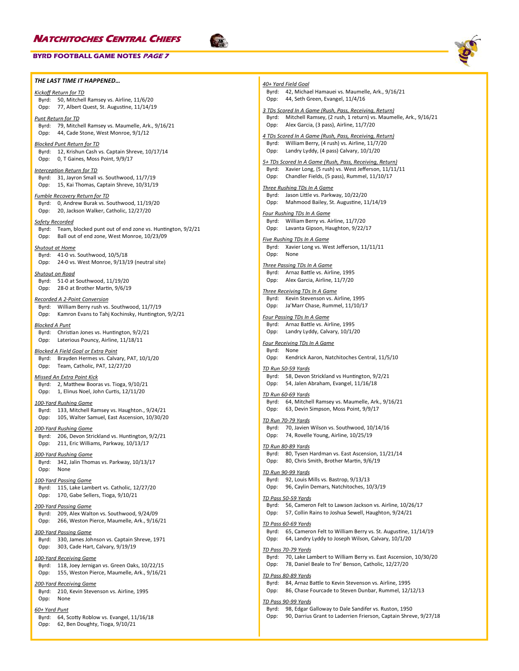### **BYRD FOOTBALL GAME NOTES PAGE 7**

### *THE LAST TIME IT HAPPENED…*

### *Kickoff Return for TD*

Byrd: 50, Mitchell Ramsey vs. Airline, 11/6/20 Opp: 77, Albert Quest, St. Augustine, 11/14/19

### *Punt Return for TD*

Byrd: 79, Mitchell Ramsey vs. Maumelle, Ark., 9/16/21 Opp: 44, Cade Stone, West Monroe, 9/1/12

### *Blocked Punt Return for TD*

Byrd: 12, Krishun Cash vs. Captain Shreve, 10/17/14 Opp: 0, T Gaines, Moss Point, 9/9/17

### *Interception Return for TD* Byrd: 31, Jayron Small vs. Southwood, 11/7/19 Opp: 15, Kai Thomas, Captain Shreve, 10/31/19

*Fumble Recovery Return for TD*

Byrd: 0, Andrew Burak vs. Southwood, 11/19/20 Opp: 20, Jackson Walker, Catholic, 12/27/20

### *Safety Recorded*

Byrd: Team, blocked punt out of end zone vs. Huntington, 9/2/21 Opp: Ball out of end zone, West Monroe, 10/23/09

*Shutout at Home* Byrd: 41-0 vs. Southwood, 10/5/18 Opp: 24-0 vs. West Monroe, 9/13/19 (neutral site)

### *Shutout on Road*

Byrd: 51-0 at Southwood, 11/19/20 Opp: 28-0 at Brother Martin, 9/6/19

### *Recorded A 2-Point Conversion*

Byrd: William Berry rush vs. Southwood, 11/7/19 Opp: Kamron Evans to Tahj Kochinsky, Huntington, 9/2/21

### *Blocked A Punt*

Byrd: Christian Jones vs. Huntington, 9/2/21 Opp: Laterious Pouncy, Airline, 11/18/11

### *Blocked A Field Goal or Extra Point*

Byrd: Brayden Hermes vs. Calvary, PAT, 10/1/20 Opp: Team, Catholic, PAT, 12/27/20

### *Missed An Extra Point Kick*

Byrd: 2, Matthew Booras vs. Tioga, 9/10/21 Opp: 1, Elinus Noel, John Curtis, 12/11/20

### *100-Yard Rushing Game*

Byrd: 133, Mitchell Ramsey vs. Haughton., 9/24/21 Opp: 105, Walter Samuel, East Ascension, 10/30/20

### *200-Yard Rushing Game*

Byrd: 206, Devon Strickland vs. Huntington, 9/2/21 Opp: 211, Eric Williams, Parkway, 10/13/17

### *300-Yard Rushing Game*

Byrd: 342, Jalin Thomas vs. Parkway, 10/13/17 Opp: None

### *100-Yard Passing Game*

Byrd: 115, Lake Lambert vs. Catholic, 12/27/20 Opp: 170, Gabe Sellers, Tioga, 9/10/21

### *200-Yard Passing Game*

Byrd: 209, Alex Walton vs. Southwood, 9/24/09 Opp: 266, Weston Pierce, Maumelle, Ark., 9/16/21

### *300-Yard Passing Game*

Byrd: 330, James Johnson vs. Captain Shreve, 1971 Opp: 303, Cade Hart, Calvary, 9/19/19

# *100-Yard Receiving Game*

Byrd: 118, Joey Jernigan vs. Green Oaks, 10/22/15 Opp: 155, Weston Pierce, Maumelle, Ark., 9/16/21

### *200-Yard Receiving Game*

Byrd: 210, Kevin Stevenson vs. Airline, 1995 Opp: None

### *60+ Yard Punt*

Byrd: 64, Scotty Roblow vs. Evangel, 11/16/18

Opp: 62, Ben Doughty, Tioga, 9/10/21



## *40+ Yard Field Goal* Byrd: 42, Michael Hamauei vs. Maumelle, Ark., 9/16/21 Opp: 44, Seth Green, Evangel, 11/4/16

*3 TDs Scored In A Game (Rush, Pass, Receiving, Return)* Byrd: Mitchell Ramsey, (2 rush, 1 return) vs. Maumelle, Ark., 9/16/21 Opp: Alex Garcia, (3 pass), Airline, 11/7/20

*4 TDs Scored In A Game (Rush, Pass, Receiving, Return)* Byrd: William Berry, (4 rush) vs. Airline, 11/7/20 Opp: Landry Lyddy, (4 pass) Calvary, 10/1/20

# *5+ TDs Scored In A Game (Rush, Pass, Receiving, Return)*

- Byrd: Xavier Long, (5 rush) vs. West Jefferson, 11/11/11 Opp: Chandler Fields, (5 pass), Rummel, 11/10/17
- 

# *Three Rushing TDs In A Game*

Byrd: Jason Little vs. Parkway, 10/22/20 Opp: Mahmood Bailey, St. Augustine, 11/14/19

### *Four Rushing TDs In A Game*

Byrd: William Berry vs. Airline, 11/7/20 Opp: Lavanta Gipson, Haughton, 9/22/17

### *Five Rushing TDs In A Game*

Byrd: Xavier Long vs. West Jefferson, 11/11/11 Opp: None

### *Three Passing TDs In A Game*

Byrd: Arnaz Battle vs. Airline, 1995 Opp: Alex Garcia, Airline, 11/7/20

### *Three Receiving TDs In A Game* Byrd: Kevin Stevenson vs. Airline, 1995

Opp: Ja'Marr Chase, Rummel, 11/10/17

# *Four Passing TDs In A Game*

Byrd: Arnaz Battle vs. Airline, 1995 Opp: Landry Lyddy, Calvary, 10/1/20

### *Four Receiving TDs In A Game*

Byrd: None Opp: Kendrick Aaron, Natchitoches Central, 11/5/10

### *TD Run 50-59 Yards*

Byrd: 58, Devon Strickland vs Huntington, 9/2/21

Opp: 54, Jalen Abraham, Evangel, 11/16/18

### *TD Run 60-69 Yards*

Byrd: 64, Mitchell Ramsey vs. Maumelle, Ark., 9/16/21 Opp: 63, Devin Simpson, Moss Point, 9/9/17

### *TD Run 70-79 Yards*

Byrd: 70, Javien Wilson vs. Southwood, 10/14/16 Opp: 74, Rovelle Young, Airline, 10/25/19

### *TD Run 80-89 Yards*

Byrd: 80, Tysen Hardman vs. East Ascension, 11/21/14 Opp: 80, Chris Smith, Brother Martin, 9/6/19

### *TD Run 90-99 Yards*

Byrd: 92, Louis Mills vs. Bastrop, 9/13/13

Opp: 96, Caylin Demars, Natchitoches, 10/3/19

### *TD Pass 50-59 Yards*

Byrd: 56, Cameron Felt to Lawson Jackson vs. Airline, 10/26/17

Opp: 57, Collin Rains to Joshua Sewell, Haughton, 9/24/21

### *TD Pass 60-69 Yards*

Byrd: 65, Cameron Felt to William Berry vs. St. Augustine, 11/14/19

Opp: 64, Landry Lyddy to Joseph Wilson, Calvary, 10/1/20

### *TD Pass 70-79 Yards*

- Byrd: 70, Lake Lambert to William Berry vs. East Ascension, 10/30/20
- Opp: 78, Daniel Beale to Tre' Benson, Catholic, 12/27/20

### *TD Pass 80-89 Yards*

Byrd: 84, Arnaz Battle to Kevin Stevenson vs. Airline, 1995 Opp: 86, Chase Fourcade to Steven Dunbar, Rummel, 12/12/13

### *TD Pass 90-99 Yards*

- Byrd: 98, Edgar Galloway to Dale Sandifer vs. Ruston, 1950
- Opp: 90, Darrius Grant to Laderrien Frierson, Captain Shreve, 9/27/18
	-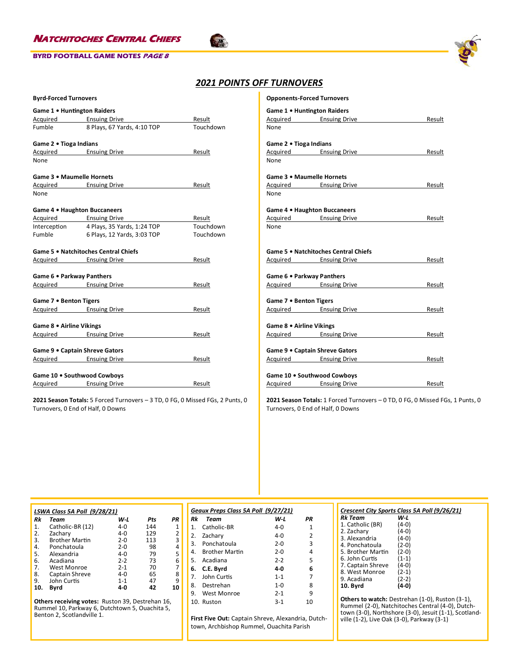



# *2021 POINTS OFF TURNOVERS*

 $\sqrt{2}$ 

| <b>Byrd-Forced Turnovers</b> |                                          |           |  |  |
|------------------------------|------------------------------------------|-----------|--|--|
| Game 1 . Huntington Raiders  |                                          |           |  |  |
|                              | Acquired Ensuing Drive                   | Result    |  |  |
| Fumble                       | 8 Plays, 67 Yards, 4:10 TOP              | Touchdown |  |  |
| Game 2 . Tioga Indians       |                                          |           |  |  |
|                              | Acquired Ensuing Drive                   | Result    |  |  |
| None                         |                                          |           |  |  |
| Game 3 • Maumelle Hornets    |                                          |           |  |  |
|                              | Acquired Ensuing Drive                   | Result    |  |  |
| None                         |                                          |           |  |  |
|                              | Game 4 . Haughton Buccaneers             |           |  |  |
|                              | Acquired Ensuing Drive                   | Result    |  |  |
|                              | Interception 4 Plays, 35 Yards, 1:24 TOP | Touchdown |  |  |
|                              | Fumble 6 Plays, 12 Yards, 3:03 TOP       | Touchdown |  |  |
|                              | Game 5 . Natchitoches Central Chiefs     |           |  |  |
|                              | Acquired Ensuing Drive                   | Result    |  |  |
| Game 6 . Parkway Panthers    |                                          |           |  |  |
|                              | Acquired Ensuing Drive                   | Result    |  |  |
| Game 7 • Benton Tigers       |                                          |           |  |  |
|                              | Acquired Ensuing Drive                   | Result    |  |  |
|                              |                                          |           |  |  |
| Game 8 . Airline Vikings     |                                          |           |  |  |
|                              | Acquired Ensuing Drive                   | Result    |  |  |
|                              | Game 9 . Captain Shreve Gators           |           |  |  |
|                              | Acquired Ensuing Drive                   | Result    |  |  |
|                              | Game 10 . Southwood Cowboys              |           |  |  |
|                              | Acquired Ensuing Drive                   | Result    |  |  |

**2021 Season Totals:** 5 Forced Turnovers – 3 TD, 0 FG, 0 Missed FGs, 2 Punts, 0 Turnovers, 0 End of Half, 0 Downs

| <b>Opponents-Forced Turnovers</b> |                                      |        |
|-----------------------------------|--------------------------------------|--------|
| Game 1 . Huntington Raiders       |                                      |        |
|                                   | Acquired Ensuing Drive               | Result |
| None                              |                                      |        |
| Game 2 . Tioga Indians            |                                      |        |
|                                   | Acquired Ensuing Drive               | Result |
| None                              |                                      |        |
| Game 3 . Maumelle Hornets         |                                      |        |
|                                   | Acquired Ensuing Drive               | Result |
| None                              |                                      |        |
|                                   | Game 4 . Haughton Buccaneers         |        |
|                                   | Acquired Ensuing Drive               | Result |
| None                              |                                      |        |
|                                   |                                      |        |
|                                   | Game 5 . Natchitoches Central Chiefs |        |
|                                   | Acquired Ensuing Drive               | Result |
|                                   |                                      |        |
| Game 6 . Parkway Panthers         |                                      |        |
|                                   | Acquired Ensuing Drive               | Result |
|                                   |                                      |        |
| Game 7 . Benton Tigers            |                                      |        |
|                                   | Acquired Ensuing Drive               | Result |
|                                   |                                      |        |
| Game 8 . Airline Vikings          |                                      |        |
|                                   | Acquired Ensuing Drive               | Result |
|                                   |                                      |        |
|                                   | Game 9 . Captain Shreve Gators       |        |
|                                   | Acquired Ensuing Drive               | Result |
|                                   |                                      |        |
|                                   | Game 10 . Southwood Cowboys          |        |

**2021 Season Totals:** 1 Forced Turnovers – 0 TD, 0 FG, 0 Missed FGs, 1 Punts, 0 Turnovers, 0 End of Half, 0 Downs

Acquired Ensuing Drive **Result** 

| LSWA Class 5A Poll (9/28/21) |                       |         |     |    |  |  |  |
|------------------------------|-----------------------|---------|-----|----|--|--|--|
| Rk                           | Team                  | W L     | Pts | PR |  |  |  |
| 1.                           | Catholic-BR (12)      | $4 - 0$ | 144 | 1  |  |  |  |
| 2.                           | Zachary               | $4 - 0$ | 129 | 2  |  |  |  |
| 3.                           | <b>Brother Martin</b> | $2 - 0$ | 113 | 3  |  |  |  |
| 4.                           | Ponchatoula           | $2 - 0$ | 98  | 4  |  |  |  |
| 5.                           | Alexandria            | $4 - 0$ | 79  | 5  |  |  |  |
| 6.                           | Acadiana              | $2 - 2$ | 73  | 6  |  |  |  |
| 7.                           | West Monroe           | $2 - 1$ | 70  | 7  |  |  |  |
| 8.                           | Captain Shreve        | $4 - 0$ | 65  | 8  |  |  |  |
| 9.                           | John Curtis           | $1 - 1$ | 47  | ٩  |  |  |  |
| 10.                          | Byrd                  | 4-0     | 42  | 10 |  |  |  |

**Others receiving votes:** Ruston 39, Destrehan 16, Rummel 10, Parkway 6, Dutchtown 5, Ouachita 5, Benton 2, Scotlandville 1.

| Geaux Preps Class 5A Poll (9/27/21) |                   |             |               |  |  |
|-------------------------------------|-------------------|-------------|---------------|--|--|
| Rk                                  | Team              | W-L         | PR            |  |  |
| 1                                   | Catholic-BR       | 4-0         | 1             |  |  |
|                                     | 2. Zachary        | 4-0         | $\mathcal{P}$ |  |  |
|                                     | 3. Ponchatoula    | $2 - 0$     | 3             |  |  |
|                                     | 4. Brother Martin | $2 - 0$     | 4             |  |  |
|                                     | 5. Acadiana       | $2 - 2$     | 5             |  |  |
| 6.                                  | C.E. Byrd         | 4-0         | 6             |  |  |
| $7_{\cdot}$                         | John Curtis       | $1 - 1$     | 7             |  |  |
| 8.                                  | Destrehan         | 1- $\Omega$ | 8             |  |  |
| ۹.                                  | West Monroe       | $2 - 1$     | 9             |  |  |
|                                     | 10. Ruston        | $3-1$       | 10            |  |  |

**First Five Out:** Captain Shreve, Alexandria, Dutchtown, Archbishop Rummel, Ouachita Parish

### *Crescent City Sports Class 5A Poll (9/26/21) Rk Team W-L*

| 1. Catholic (BR)  | $(4-0)$ |
|-------------------|---------|
| 2. Zachary        | $(4-0)$ |
| 3. Alexandria     | $(4-0)$ |
| 4. Ponchatoula    | $(2-0)$ |
| 5. Brother Martin | $(2-0)$ |
| 6. John Curtis    | $(1-1)$ |
| 7. Captain Shreve | $(4-0)$ |
| 8. West Monroe    | $(2-1)$ |
| 9. Acadiana       | $(2-2)$ |
| 10. Byrd          | $(4-0)$ |
|                   |         |

**Others to watch:** Destrehan (1-0), Ruston (3-1), Rummel (2-0), Natchitoches Central (4-0), Dutchtown (3-0), Northshore (3-0), Jesuit (1-1), Scotlandville (1-2), Live Oak (3-0), Parkway (3-1)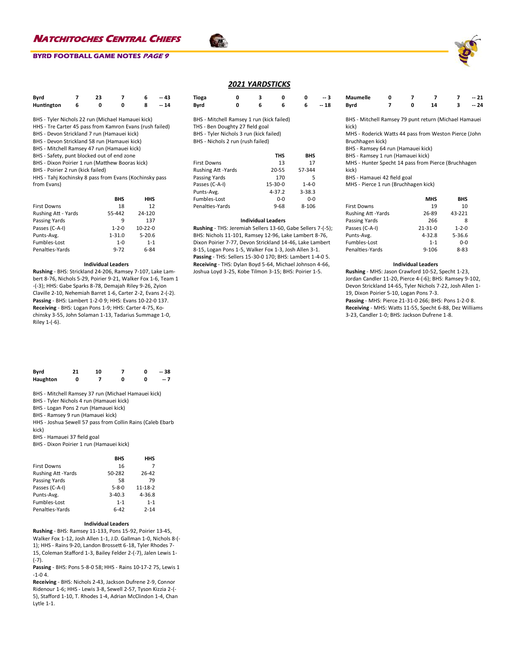### **BYRD FOOTBALL GAME NOTES PAGE 9**

| Byrd       | 23 |  | $-43$ |
|------------|----|--|-------|
| Huntington |    |  | $-14$ |

- BHS Tyler Nichols 22 run (Michael Hamauei kick)
- HHS Tre Carter 45 pass from Kamron Evans (rush failed)
- BHS Devon Strickland 7 run (Hamauei kick)
- BHS Devon Strickland 58 run (Hamauei kick)
- BHS Mitchell Ramsey 47 run (Hamauei kick)
- BHS Safety, punt blocked out of end zone
- BHS Dixon Poirier 1 run (Matthew Booras kick)
- BHS Poirier 2 run (kick failed)

HHS - Tahj Kochinsky 8 pass from Evans (Kochinsky pass from Evans)

|                     | <b>BHS</b>  | HHS        |
|---------------------|-------------|------------|
| <b>First Downs</b>  | 18          | 12         |
| Rushing Att - Yards | 55-442      | 24-120     |
| Passing Yards       | 9           | 137        |
| Passes (C-A-I)      | $1 - 2 - 0$ | $10-22-0$  |
| Punts-Avg.          | $1 - 31.0$  | $5 - 20.6$ |
| Fumbles-Lost        | $1 - 0$     | $1 - 1$    |
| Penalties-Yards     | $9 - 72$    | 6-84       |

### **Individual Leaders**

**Rushing** - BHS: Strickland 24-206, Ramsey 7-107, Lake Lambert 8-76, Nichols 5-29, Poirier 9-21, Walker Fox 1-6, Team 1 -(-3); HHS: Gabe Sparks 8-78, Demajah Riley 9-26, Zyion Claville 2-10, Nehemiah Barret 1-6, Carter 2-2, Evans 2-(-2). **Passing** - BHS: Lambert 1-2-0 9; HHS: Evans 10-22-0 137. **Receiving** - BHS: Logan Pons 1-9; HHS: Carter 4-75, Kochinsky 3-55, John Solaman 1-13, Tadarius Summage 1-0, Riley 1-(-6).

| Byrd     | 21 | 10 |  | $-38$ |
|----------|----|----|--|-------|
| Haughton |    |    |  | $-7$  |

BHS - Mitchell Ramsey 37 run (Michael Hamauei kick)

BHS - Tyler Nichols 4 run (Hamauei kick)

BHS - Logan Pons 2 run (Hamauei kick)

BHS - Ramsey 9 run (Hamauei kick)

HHS - Joshua Sewell 57 pass from Collin Rains (Caleb Ebarb kick)

BHS - Hamauei 37 field goal

BHS - Dixon Poirier 1 run (Hamauei kick)

**BHS HHS** First Downs 16 7 Rushing Att -Yards 50-282 26-42<br>Passing Yards 58 58 79 Passing Yards<br>
Passes (C-A-I) 5-8-0 11-18-2 Passes (C-A-I) 5-8-0 11-18-2<br>Punts-Avg. 3-40.3 4-36.8 Punts-Avg. Fumbles-Lost 1-1 1-1 1-1

Penalties-Yards 6-42 2-14

### **Individual Leaders**

**Rushing** - BHS: Ramsey 11-133, Pons 15-92, Poirier 13-45, Walker Fox 1-12, Josh Allen 1-1, J.D. Gallman 1-0, Nichols 8-(- 1); HHS - Rains 9-20, Landon Brossett 6-18, Tyler Rhodes 7- 15, Coleman Stafford 1-3, Bailey Felder 2-(-7), Jalen Lewis 1- (-7).

**Passing** - BHS: Pons 5-8-0 58; HHS - Rains 10-17-2 75, Lewis 1 -1-0 4.

**Receiving** - BHS: Nichols 2-43, Jackson Dufrene 2-9, Connor Ridenour 1-6; HHS - Lewis 3-8, Sewell 2-57, Tyson Kizzia 2-(- 5), Stafford 1-10, T. Rhodes 1-4, Adrian McClindon 1-4, Chan Lytle 1-1.

### *2021 YARDSTICKS*

| Tioga                                                                                                                                                        | 0 | з | 0     | 0          | -- 3  |
|--------------------------------------------------------------------------------------------------------------------------------------------------------------|---|---|-------|------------|-------|
| Byrd                                                                                                                                                         | 0 | 6 | 6     | 6          | -- 18 |
| BHS - Mitchell Ramsey 1 run (kick failed)<br>THS - Ben Doughty 27 field goal<br>BHS - Tyler Nichols 3 run (kick failed)<br>BHS - Nichols 2 run (rush failed) |   |   |       |            |       |
|                                                                                                                                                              |   |   | THS   | <b>BHS</b> |       |
| <b>First Downs</b>                                                                                                                                           |   |   | 13    | 17         |       |
| <b>Rushing Att -Yards</b>                                                                                                                                    |   |   | 20-55 | 57-344     |       |

| 1 11 J L LA UU V V 1 1 J | .          | . .         |
|--------------------------|------------|-------------|
| <b>Rushing Att-Yards</b> | 20-55      | 57-344      |
| Passing Yards            | 170        | 5           |
| Passes (C-A-I)           | 15-30-0    | $1 - 4 - 0$ |
| Punts-Avg.               | $4 - 37.2$ | $3 - 38.3$  |
| Fumbles-Lost             | $0 - 0$    | $0 - 0$     |
| Penalties-Yards          | $9 - 68$   | 8-106       |
|                          |            |             |

### **Individual Leaders**

**Rushing** - THS: Jeremiah Sellers 13-60, Gabe Sellers 7-(-5); BHS: Nichols 11-101, Ramsey 12-96, Lake Lambert 8-76, Dixon Poirier 7-77, Devon Strickland 14-46, Lake Lambert 8-15, Logan Pons 1-5, Walker Fox 1-3, Josh Allen 3-1. **Passing** - THS: Sellers 15-30-0 170; BHS: Lambert 1-4-0 5. **Receiving** - THS: Dylan Boyd 5-64, Michael Johnson 4-66, Joshua Loyd 3-25, Kobe Tilmon 3-15; BHS: Poirier 1-5.

| Maumelle |  |    | $-21$ |
|----------|--|----|-------|
| Byrd     |  | 14 | $-24$ |

BHS - Mitchell Ramsey 79 punt return (Michael Hamauei kick)

MHS - Roderick Watts 44 pass from Weston Pierce (John Bruchhagen kick)

BHS - Ramsey 64 run (Hamauei kick)

BHS - Ramsey 1 run (Hamauei kick)

MHS - Hunter Specht 14 pass from Pierce (Bruchhagen kick)

BHS - Hamauei 42 field goal

MHS - Pierce 1 run (Bruchhagen kick)

|                     | <b>MHS</b>    | <b>BHS</b>  |
|---------------------|---------------|-------------|
| <b>First Downs</b>  | 19            | 10          |
| Rushing Att - Yards | 26-89         | 43-221      |
| Passing Yards       | 266           | 8           |
| Passes (C-A-I)      | $21 - 31 - 0$ | $1 - 2 - 0$ |
| Punts-Avg.          | $4 - 32.8$    | $5 - 36.6$  |
| Fumbles-Lost        | $1 - 1$       | $0 - 0$     |
| Penalties-Yards     | $9 - 106$     | $8 - 83$    |

### **Individual Leaders**

**Rushing** - MHS: Jason Crawford 10-52, Specht 1-23, Jordan Candler 11-20, Pierce 4-(-6); BHS: Ramsey 9-102, Devon Strickland 14-65, Tyler Nichols 7-22, Josh Allen 1- 19, Dixon Poirier 5-10, Logan Pons 7-3.

**Passing** - MHS: Pierce 21-31-0 266; BHS: Pons 1-2-0 8. **Receiving** - MHS: Watts 11-55, Specht 6-88, Dez Williams 3-23, Candler 1-0; BHS: Jackson Dufrene 1-8.

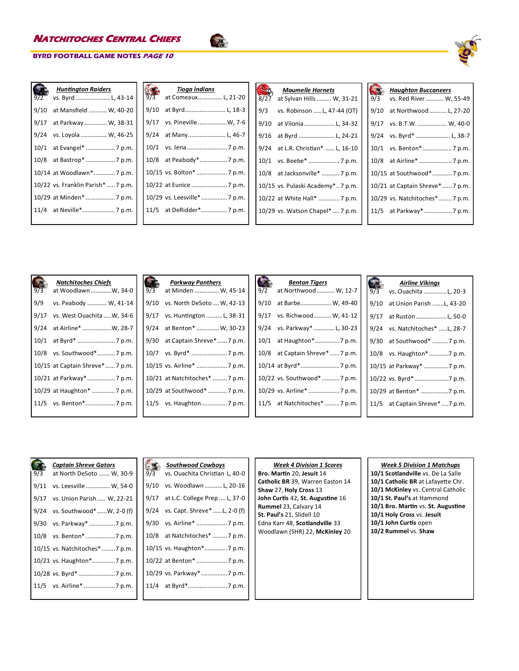

| $12-2$ | <b>Huntington Raiders</b><br>vs. Byrd  L, 43-14 |
|--------|-------------------------------------------------|
| 9/10   | at Mansfield  W, 40-20                          |
| 9/17   | at Parkway W, 38-31                             |
| 9/24   | vs. Loyola  W, 46-25                            |
| 10/1   |                                                 |
|        |                                                 |
|        | 10/14 at Woodlawn* 7 p.m.                       |
|        | 10/22 vs. Franklin Parish*  7 p.m.              |
|        | 10/29 at Minden*  7 p.m.                        |
|        |                                                 |
|        |                                                 |

| 9/3  | Tioga Indians<br>at Comeaux L, 21-20 |
|------|--------------------------------------|
| 9/10 | at Byrd L, 18-3                      |
| 9/17 | vs. Pineville W, 7-6                 |
| 9/24 | at Many L, 46-7                      |
|      |                                      |
|      |                                      |
|      | 10/15 vs. Bolton*  7 p.m.            |
|      |                                      |
|      | 10/29 vs. Leesville*  7 p.m.         |
|      | 11/5 at DeRidder* 7 p.m.             |
|      |                                      |

 $\frac{1}{\sqrt{2}}$ 

| 8/27 | <b>Maumelle Hornets</b><br>at Sylvan Hills  W, 31-21 |
|------|------------------------------------------------------|
|      |                                                      |
| 9/3  | vs. Robinson  L, 47-44 (OT)                          |
| 9/10 | at Vilonia L, 34-32                                  |
| 9/16 | at Byrd  L, 24-21                                    |
| 9/24 | at L.R. Christian*  L, 16-10                         |
| 10/1 | vs. Beebe*  7 p.m.                                   |
| 10/8 | at Jacksonville*  7 p.m.                             |
|      | 10/15 vs. Pulaski Academy* 7 p.m.                    |
|      | 10/22 at White Hall*  7 p.m.                         |
|      | 10/29 vs. Watson Chapel*  7 p.m.                     |
|      |                                                      |

| 9/3  | <b>Haughton Buccaneers</b><br>vs. Red River  W, 55-49 |
|------|-------------------------------------------------------|
| 9/10 | at Northwood L, 27-20                                 |
| 9/17 | vs. B.T.W.  W, 40-0                                   |
| 9/24 | vs. Byrd*  L, 38-7                                    |
| 10/1 |                                                       |
| 10/8 | at Airline*  7 p.m.                                   |
|      | 10/15 at Southwood*7 p.m.                             |
|      | 10/21 at Captain Shreve* 7 p.m.                       |
|      | 10/29 vs. Natchitoches*7 p.m.                         |
|      |                                                       |
|      |                                                       |

| 9/3  | <b>Natchitoches Chiefs</b><br>at WoodlawnW, 34-0 | 9/3 | <b>Parkway Panthers</b><br>at Minden  W, 45-14 |
|------|--------------------------------------------------|-----|------------------------------------------------|
| 9/9  | vs. Peabody  W, 41-14                            |     | 9/10 vs. North DeSoto  W, 42-13                |
| 9/17 | vs. West Ouachita W, 34-6                        |     | 9/17 vs. Huntington  L, 38-31                  |
| 9/24 | at Airline* W, 28-7                              |     | 9/24 at Benton*  W, 30-23                      |
| 10/1 |                                                  |     | 9/30 at Captain Shreve*  7 p.m.                |
|      | 10/8 vs. Southwood* 7 p.m.                       |     |                                                |
|      | 10/15 at Captain Shreve* 7 p.m.                  |     | 10/15 vs. Airline*  7 p.m.                     |
|      | 10/21 at Parkway*  7 p.m.                        |     | 10/21 at Natchitoches* 7 p.m.                  |
|      | 10/29 at Haughton*  7 p.m.                       |     | 10/29 at Southwood* 7 p.m.                     |
|      |                                                  |     | 11/5 vs. Haughton 7 p.m.                       |
|      |                                                  |     |                                                |

| 9/2 | <b>Benton Tigers</b><br>at Northwood  W, 12-7 |
|-----|-----------------------------------------------|
|     | 9/10 at Barbe W, 49-40                        |
|     | 9/17 vs. Richwood W, 41-12                    |
|     | 9/24 vs. Parkway*  L, 30-23                   |
|     |                                               |
|     | 10/8 at Captain Shreve*  7 p.m.               |
|     |                                               |
|     | 10/22 vs. Southwood*7 p.m.                    |
|     | 10/29 vs. Airline*  7 p.m.                    |
|     | 11/5 at Natchitoches*  7 p.m.                 |

| 9/3  | <b>Airline Vikings</b><br>vs. Ouachita L, 20-3 |
|------|------------------------------------------------|
| 9/10 | at Union Parish L, 43-20                       |
| 9/17 | at Ruston L, 50-0                              |
| 9/24 | vs. Natchitoches* L, 28-7                      |
| 9/30 | at Southwood* 7 p.m.                           |
|      | 10/8 vs. Haughton* 7 p.m.                      |
|      | 10/15 at Parkway* 7 p.m.                       |
|      |                                                |
|      | 10/29 at Benton* 7 p.m.                        |
|      | 11/5 at Captain Shreve* 7 p.m.                 |
|      |                                                |

|     | <b>Captain Shreve Gators</b>    |      | <b>Southwood Cowboys</b>           | <b>Week 4 Divis</b>                        |
|-----|---------------------------------|------|------------------------------------|--------------------------------------------|
| 9/3 | at North DeSoto  W, 30-9        | 9/3  | vs. Ouachita Christian L, 40-0     | Bro. Martin 20, Jes                        |
|     | 9/11 vs. Leesville  W, 54-0     | 9/10 | vs. Woodlawn  L, 20-16             | Catholic BR 39, Wa<br>Shaw 27, Holy Cros   |
|     | 9/17 vs. Union Parish W, 22-21  |      | 9/17 at L.C. College Prep  L, 37-0 | John Curtis 42, St.                        |
|     | 9/24 vs. Southwood*W, 2-0 (f)   |      | 9/24 vs. Capt. Shreve* L, 2-0 (f)  | Rummel 23, Calvar<br>St. Paul's 21, Slidel |
|     | 9/30 vs. Parkway*  7 p.m.       |      |                                    | Edna Karr 48, Scotl                        |
|     |                                 |      | 10/8 at Natchitoches* 7 p.m.       | Woodlawn (SHR) 2                           |
|     | 10/15 vs. Natchitoches*  7 p.m. |      | 10/15 vs. Haughton*7 p.m.          |                                            |
|     |                                 |      |                                    |                                            |
|     |                                 |      |                                    |                                            |
|     |                                 |      |                                    |                                            |
|     |                                 |      |                                    |                                            |

| <b>Week 4 Division 1 Scores</b>  |
|----------------------------------|
| Bro. Martin 20, Jesuit 14        |
| Catholic BR 39, Warren Easton 14 |
| Shaw 27, Holy Cross 13           |
| John Curtis 42, St. Augustine 16 |
| Rummel 23, Calvary 14            |
| St. Paul's 21, Slidell 10        |
| Edna Karr 48. Scotlandville 33   |
| Woodlawn (SHR) 22, McKinley 20   |
|                                  |

# *Week 5 Division 1 Matchups*

**10/1 Scotlandville** vs. De La Salle **10/1 Catholic BR** at Lafayette Chr. **10/1 McKinley** vs. Central Catholic **10/1 St. Paul's** at Hammond **10/1 Bro. Martin** vs. **St. Augustine 10/1 Holy Cross** vs. **Jesuit 10/1 John Curtis** open **10/2 Rummel** vs. **Shaw**

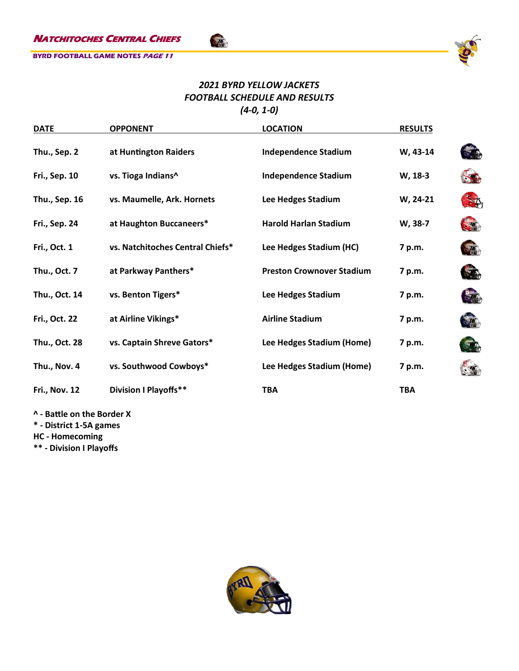

# *2021 BYRD YELLOW JACKETS FOOTBALL SCHEDULE AND RESULTS (4-0, 1-0)*

Sta

| <b>DATE</b>          | <b>OPPONENT</b>                  | <b>LOCATION</b>                  | <b>RESULTS</b> |                      |
|----------------------|----------------------------------|----------------------------------|----------------|----------------------|
| Thu., Sep. 2         | at Huntington Raiders            | <b>Independence Stadium</b>      | W, 43-14       |                      |
| <b>Fri., Sep. 10</b> | vs. Tioga Indians^               | <b>Independence Stadium</b>      | W, 18-3        |                      |
| Thu., Sep. 16        | vs. Maumelle, Ark. Hornets       | Lee Hedges Stadium               | W, 24-21       | $\mathfrak{D}$       |
| <b>Fri., Sep. 24</b> | at Haughton Buccaneers*          | <b>Harold Harlan Stadium</b>     | W, 38-7        |                      |
| Fri., Oct. 1         | vs. Natchitoches Central Chiefs* | Lee Hedges Stadium (HC)          | 7 p.m.         | $\frac{1}{2}$        |
| Thu., Oct. 7         | at Parkway Panthers*             | <b>Preston Crownover Stadium</b> | 7 p.m.         | 54                   |
| Thu., Oct. 14        | vs. Benton Tigers*               | Lee Hedges Stadium               | 7 p.m.         | $-1$                 |
| Fri., Oct. 22        | at Airline Vikings*              | <b>Airline Stadium</b>           | 7 p.m.         | $\frac{1}{\sqrt{2}}$ |
| Thu., Oct. 28        | vs. Captain Shreve Gators*       | Lee Hedges Stadium (Home)        | 7 p.m.         | $\frac{1}{2}$        |
| Thu., Nov. 4         | vs. Southwood Cowboys*           | Lee Hedges Stadium (Home)        | 7 p.m.         |                      |
| <b>Fri., Nov. 12</b> | <b>Division I Playoffs**</b>     | <b>TBA</b>                       | <b>TBA</b>     |                      |
|                      |                                  |                                  |                |                      |

**^ - Battle on the Border X**

**\* - District 1-5A games**

**HC - Homecoming**

**\*\* - Division I Playoffs**

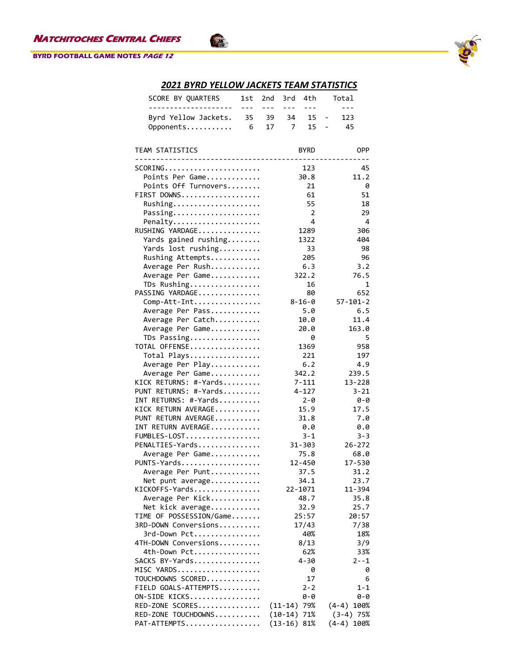### **BYRD FOOTBALL GAME NOTES PAGE 12**



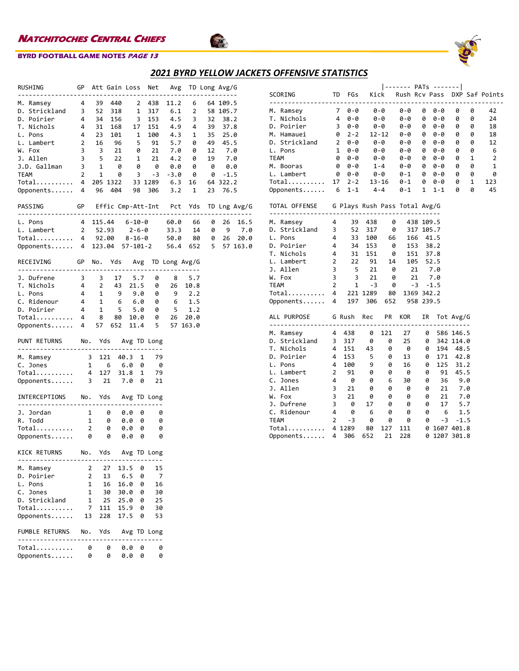



Sta

| RUSHING                                                                                                                                                                                                                                                |     |     |                     |      |   | GP Att Gain Loss Net Avg TD Long Avg/G                                                                             |  |      |      |
|--------------------------------------------------------------------------------------------------------------------------------------------------------------------------------------------------------------------------------------------------------|-----|-----|---------------------|------|---|--------------------------------------------------------------------------------------------------------------------|--|------|------|
| M. Ramsey<br>1. 2 39 440 2 438 11.2 6 64 109.5<br>1. 3 52 318 1 317 6.1 2 58 105.7<br>1. 2 58 105.7<br>1. 2 58 105.7<br>1. 2 58 105.7<br>1. 2 58 105.7<br>1. 2 58 105.7<br>1. 2 58 105.7<br>1. 2 58 105.7<br>1. 2 58 105.7<br>1. 2 58 105.7<br>1. 2 58 |     |     |                     |      |   |                                                                                                                    |  |      |      |
|                                                                                                                                                                                                                                                        |     |     |                     |      |   |                                                                                                                    |  |      |      |
|                                                                                                                                                                                                                                                        |     |     |                     |      |   |                                                                                                                    |  |      |      |
|                                                                                                                                                                                                                                                        |     |     |                     |      |   |                                                                                                                    |  |      |      |
| L. Pons                                                                                                                                                                                                                                                |     |     |                     |      |   |                                                                                                                    |  |      |      |
| L. Lambert                                                                                                                                                                                                                                             |     |     |                     |      |   | 4 23 101 1 100 4.3 1 35 25.0<br>2 16 96 5 91 5.7 0 49 45.5<br>3 3 21 0 21 7.0 0 12 7.0<br>3 5 22 1 21 4.2 0 19 7.0 |  |      |      |
| W. Fox                                                                                                                                                                                                                                                 |     |     |                     |      |   |                                                                                                                    |  |      |      |
| J. Allen                                                                                                                                                                                                                                               |     |     |                     |      |   |                                                                                                                    |  |      |      |
| 3. Allman 3 1 0 0 0 0.0 0 0.0                                                                                                                                                                                                                          |     |     |                     |      |   |                                                                                                                    |  |      |      |
|                                                                                                                                                                                                                                                        |     |     | $2 \quad 1 \quad 0$ |      |   | $3 - 3 - 3.0$ 0                                                                                                    |  |      |      |
| TEAM 2 1 0 3 -3 -3.0 0 0 -1.5<br>Total 4 205 1322 33 1289 6.3 16 64 322.2                                                                                                                                                                              |     |     |                     |      |   |                                                                                                                    |  |      |      |
| Opponents 4 96 404 98 306 3.2 1 23                                                                                                                                                                                                                     |     |     |                     |      |   |                                                                                                                    |  | 76.5 |      |
|                                                                                                                                                                                                                                                        |     |     |                     |      |   |                                                                                                                    |  |      |      |
| GP Effic Cmp-Att-Int Pct Yds TD Lng Avg/G<br>PASSING                                                                                                                                                                                                   |     |     |                     |      |   |                                                                                                                    |  |      |      |
|                                                                                                                                                                                                                                                        |     |     |                     |      |   |                                                                                                                    |  |      |      |
| 4 115.44 6-10-0 60.0 66 0 26<br>L. Pons                                                                                                                                                                                                                |     |     |                     |      |   |                                                                                                                    |  |      | 16.5 |
|                                                                                                                                                                                                                                                        |     |     |                     |      |   |                                                                                                                    |  |      |      |
| L. Lambert 2 52.93 2-6-0 33.3 14 0 9 7.0<br>Total 4 92.00 8-16-0 50.0 80 0 26 20.0                                                                                                                                                                     |     |     |                     |      |   |                                                                                                                    |  |      |      |
| Opponents 4 123.04 57-101-2 56.4 652 5 57 163.0                                                                                                                                                                                                        |     |     |                     |      |   |                                                                                                                    |  |      |      |
|                                                                                                                                                                                                                                                        |     |     |                     |      |   |                                                                                                                    |  |      |      |
| GP No. Yds Avg TD Long Avg/G<br>RECEIVING                                                                                                                                                                                                              |     |     |                     |      |   |                                                                                                                    |  |      |      |
| 1. Dufrene 3 3 17 5.7 0 8 5.7<br>1. Nichols 4 2 43 21.5 0 26 10.8<br>1. Pons 4 1 9 9.0 0 9 2.2<br>2. Ridenour 4 1 6 6.0 0 6 1.5<br>1. Poirier 4 1 5 5.0 0 5 1.2<br>1. Total 4 8 80 10.0 0 26 20.0<br>0pponents 4 57 652 11                             |     |     |                     |      |   |                                                                                                                    |  |      |      |
|                                                                                                                                                                                                                                                        |     |     |                     |      |   |                                                                                                                    |  |      |      |
|                                                                                                                                                                                                                                                        |     |     |                     |      |   |                                                                                                                    |  |      |      |
|                                                                                                                                                                                                                                                        |     |     |                     |      |   |                                                                                                                    |  |      |      |
|                                                                                                                                                                                                                                                        |     |     |                     |      |   |                                                                                                                    |  |      |      |
|                                                                                                                                                                                                                                                        |     |     |                     |      |   |                                                                                                                    |  |      |      |
|                                                                                                                                                                                                                                                        |     |     |                     |      |   |                                                                                                                    |  |      |      |
|                                                                                                                                                                                                                                                        |     |     |                     |      |   |                                                                                                                    |  |      |      |
| PUNT RETURNS No. Yds Avg TD Long                                                                                                                                                                                                                       |     |     |                     |      |   |                                                                                                                    |  |      |      |
|                                                                                                                                                                                                                                                        |     |     |                     |      |   |                                                                                                                    |  |      |      |
| M. Ramsey 3 121 40.3 1 79<br>C. Jones 1 6 6.0 0 0                                                                                                                                                                                                      |     |     |                     |      |   |                                                                                                                    |  |      |      |
|                                                                                                                                                                                                                                                        |     |     |                     |      |   | -79                                                                                                                |  |      |      |
| Total 4 127 31.8 1<br>Opponents 3 21 7.0 0                                                                                                                                                                                                             |     |     |                     |      |   |                                                                                                                    |  |      |      |
|                                                                                                                                                                                                                                                        |     |     |                     |      |   | -21                                                                                                                |  |      |      |
| INTERCEPTIONS No. Yds Avg TD Long                                                                                                                                                                                                                      |     |     |                     |      |   |                                                                                                                    |  |      |      |
| ----------------------                                                                                                                                                                                                                                 |     |     |                     |      |   |                                                                                                                    |  |      |      |
|                                                                                                                                                                                                                                                        |     |     |                     |      |   | 0                                                                                                                  |  |      |      |
| 1. Jordan 1 0 0.0 0<br>R. Todd 1 0 0.0 0                                                                                                                                                                                                               |     |     |                     |      |   | 0                                                                                                                  |  |      |      |
|                                                                                                                                                                                                                                                        |     |     |                     |      |   | 0                                                                                                                  |  |      |      |
| Total 2 0 0.0 0<br>Opponents 0 0 0.0 0                                                                                                                                                                                                                 |     |     |                     |      |   | 0                                                                                                                  |  |      |      |
|                                                                                                                                                                                                                                                        |     |     |                     |      |   |                                                                                                                    |  |      |      |
| KICK RETURNS No. Yds Avg TD Long                                                                                                                                                                                                                       |     |     |                     |      |   |                                                                                                                    |  |      |      |
|                                                                                                                                                                                                                                                        |     |     |                     |      |   |                                                                                                                    |  |      |      |
| M. Ramsey                                                                                                                                                                                                                                              | 2   |     | 27                  | 13.5 | 0 | 15                                                                                                                 |  |      |      |
| Poirier<br>D.                                                                                                                                                                                                                                          | 2   |     | 13                  | 6.5  | 0 | 7                                                                                                                  |  |      |      |
| L.<br>Pons                                                                                                                                                                                                                                             | 1   |     | 16                  | 16.0 | 0 | 16                                                                                                                 |  |      |      |
| c.<br>Jones                                                                                                                                                                                                                                            | 1   |     | 30                  | 30.0 | 0 | 30                                                                                                                 |  |      |      |
| Strickland<br>D.                                                                                                                                                                                                                                       | 1   |     | 25                  | 25.0 | 0 | 25                                                                                                                 |  |      |      |
| Total                                                                                                                                                                                                                                                  | 7   | 111 |                     | 15.9 | 0 | 30                                                                                                                 |  |      |      |
| Opponents                                                                                                                                                                                                                                              | 13  | 228 |                     | 17.5 | 0 | 53                                                                                                                 |  |      |      |
| <b>FUMBLE RETURNS</b>                                                                                                                                                                                                                                  | No. | Yds |                     |      |   | Avg TD Long                                                                                                        |  |      |      |
| . <u>.</u> .                                                                                                                                                                                                                                           |     |     |                     |      |   |                                                                                                                    |  |      |      |
| Total                                                                                                                                                                                                                                                  | 0   |     | 0                   | 0.0  | 0 | 0                                                                                                                  |  |      |      |
| Opponents                                                                                                                                                                                                                                              | 0   |     | 0                   | 0.0  | 0 | 0                                                                                                                  |  |      |      |

| <b>SCORING</b>                                                                                         |                |                                                           |          |                                                  |                           |                                              |                        |            |              | TD FGs Kick Rush Rcv Pass DXP Saf Points |
|--------------------------------------------------------------------------------------------------------|----------------|-----------------------------------------------------------|----------|--------------------------------------------------|---------------------------|----------------------------------------------|------------------------|------------|--------------|------------------------------------------|
| M. Ramsey                                                                                              |                | $70-0$ $0-0$                                              |          |                                                  | 0-0                       |                                              | 0 0-0                  | 0          | 0            | 42                                       |
| T. Nichols                                                                                             |                |                                                           |          |                                                  | $\theta - \theta$         |                                              | $0 0 - 0$              | 0          | 0            | 24                                       |
| D. Poirier                                                                                             |                |                                                           |          |                                                  |                           |                                              | 0-0 0 0-0              | 0          | 0            | 18                                       |
| M. Hamauei                                                                                             |                | $0 \t2 - 2 \t12 - 12$                                     |          |                                                  |                           |                                              | $0 - 0$ 0 $0 - 0$      | 0          | 0            | 18                                       |
| D. Strickland $2 \quad 0-0 \quad 0-0$                                                                  |                |                                                           |          |                                                  |                           |                                              | 0-0 0 0-0<br>0-0 0 0-0 | 0          | 0            | 12                                       |
| L. Pons                                                                                                |                | $1 \ 0 - 0$                                               |          | 0-0                                              |                           |                                              |                        | 0          | 0            | 6                                        |
| <b>TEAM</b>                                                                                            |                | $0 - 0$                                                   |          | $0 - 0$                                          |                           |                                              | $0 - 0$ 0 $0 - 0$      | $\Theta$   | $\mathbf{1}$ | $\overline{2}$                           |
| M. Booras                                                                                              |                |                                                           |          |                                                  |                           |                                              |                        | 0          | 0            | 1                                        |
| L. Lambert                                                                                             |                |                                                           |          |                                                  |                           |                                              |                        | 0          | 0            | 0                                        |
| Total                                                                                                  |                |                                                           |          |                                                  |                           |                                              |                        | $\Theta$   | $\mathbf{1}$ | 123                                      |
| Opponents $6 \t 1-1 \t 4-4$                                                                            |                |                                                           |          |                                                  |                           |                                              | $0 - 1$ 1 1 - 1        | 0          | 0            | 45                                       |
| TOTAL OFFENSE G Plays Rush Pass Total Avg/G                                                            |                |                                                           |          |                                                  |                           |                                              |                        |            |              |                                          |
| ----------------<br>$\overline{4}$<br>M. Ramsey                                                        |                |                                                           | 39 438 0 |                                                  |                           | 438 109.5                                    |                        |            |              |                                          |
| D. Strickland 3                                                                                        |                |                                                           | 52 317   | 0                                                |                           | 317 105.7                                    |                        |            |              |                                          |
| L. Pons                4        33    100      66<br>D. Poirier             4        34    153       0 |                |                                                           |          |                                                  |                           | 166 41.5                                     |                        |            |              |                                          |
|                                                                                                        |                |                                                           |          |                                                  |                           | 153 38.2                                     |                        |            |              |                                          |
| T. Nichols                                                                                             |                | $4$ $31$ $151$ $8$ $151$ $37.8$                           |          |                                                  |                           |                                              |                        |            |              |                                          |
| L. Lambert                                                                                             |                |                                                           |          |                                                  |                           |                                              |                        |            |              |                                          |
| J. Allen                                                                                               |                |                                                           |          |                                                  |                           |                                              |                        |            |              |                                          |
| W. Fox                                                                                                 |                | 2 22 91 14 105 52.5<br>3 5 21 0 21 7.0<br>3 3 21 0 21 7.0 |          |                                                  |                           |                                              |                        |            |              |                                          |
|                                                                                                        |                |                                                           |          | $\theta$                                         |                           | $-3 - 1.5$                                   |                        |            |              |                                          |
|                                                                                                        |                |                                                           |          |                                                  |                           | 1369 342.2                                   |                        |            |              |                                          |
| TEAM 2 1 -3 0<br>Total 4 221 1289 80<br>Opponents 4 197 306 652                                        |                |                                                           |          |                                                  | 958 239.5                 |                                              |                        |            |              |                                          |
| ALL PURPOSE G Rush Rec PR KOR                                                                          |                |                                                           |          |                                                  |                           |                                              | IR Tot Avg/G           |            |              |                                          |
| M. Ramsey 4 438 0                                                                                      |                |                                                           |          | 121                                              | 27                        |                                              | 0                      | 586 146.5  |              |                                          |
| D. Strickland<br>—                                                                                     |                |                                                           |          |                                                  | $\frac{25}{2}$            |                                              | 0                      | 342 114.0  |              |                                          |
| T. Nichols                                                                                             |                | 3 317 0 0<br>4 151 43 0                                   |          |                                                  | $\frac{25}{0}$            |                                              | 0                      | 194 48.5   |              |                                          |
| D. Poirier                                                                                             | $\overline{4}$ | 153 5                                                     |          | 0                                                | 13                        |                                              | 0                      | 171 42.8   |              |                                          |
| L. Pons                                                                                                | $\overline{4}$ | $\begin{array}{c} 100 \\ 91 \end{array}$                  |          |                                                  | $\frac{16}{1}$            |                                              | 125<br>0               | 31.2       |              |                                          |
| L. Lambert                                                                                             |                | 2 91                                                      |          | $\begin{matrix} 9 & & 0 \\ 0 & & 0 \end{matrix}$ | $\overrightarrow{\theta}$ |                                              | 0 91 45.5              |            |              |                                          |
| C. Jones                                                                                               |                | $4 \theta$                                                |          | $\theta$ 6                                       | 30                        |                                              | 0, 36, 9.0             |            |              |                                          |
| J. Allen                                                                                               |                |                                                           | $\theta$ | 0                                                | $\overline{9}$            |                                              |                        |            |              |                                          |
| W. Fox                                                                                                 |                | $\begin{array}{ccc} 3 & 21 \\ 3 & 21 \end{array}$         | 0        | 0                                                | 0                         |                                              | 0 21 7.0<br>0 21 7.0   |            |              |                                          |
| J. Dufrene                                                                                             |                | $3 \theta$                                                | 17       | 0                                                | $\theta$                  |                                              | 0 17 5.7               |            |              |                                          |
| C. Ridenour                                                                                            | $\overline{4}$ | 0                                                         | - 6      | 0                                                |                           | $\begin{matrix} 0 & 0 \\ 0 & 0 \end{matrix}$ |                        | 6 1.5      |              |                                          |
| <b>TEAM</b>                                                                                            |                | $2^{\circ}$<br>$-3$                                       | 0        | 0                                                | 0                         |                                              | 0                      | $-3 - 1.5$ |              |                                          |
| Total                                                                                                  |                | 4 1289                                                    | 80       | 127                                              | 111                       |                                              | 0 1607 401.8           |            |              |                                          |
| Opponents                                                                                              | $\overline{4}$ | 306                                                       | 652      | 21                                               | 228                       |                                              | 0 1207 301.8           |            |              |                                          |
|                                                                                                        |                |                                                           |          |                                                  |                           |                                              |                        |            |              |                                          |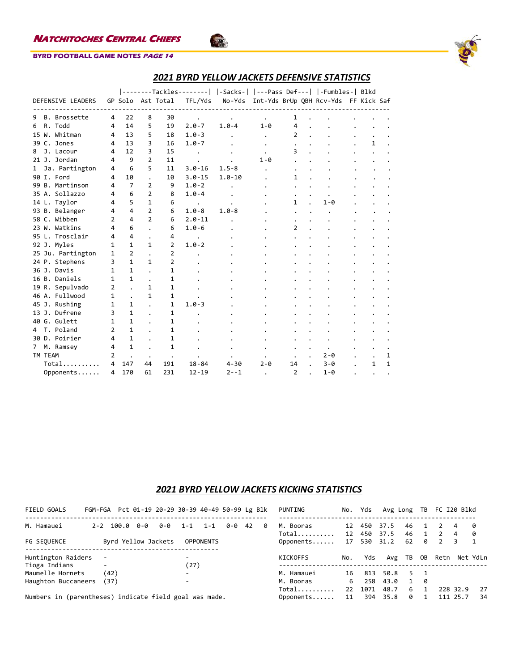

# *2021 BYRD YELLOW JACKETS DEFENSIVE STATISTICS*

|                                |              |                |                |                   | --------Tackles--------   -Sacks-   ---Pass Def---   -Fumbles-  Blkd |            |              |                |                                             |   |              |
|--------------------------------|--------------|----------------|----------------|-------------------|----------------------------------------------------------------------|------------|--------------|----------------|---------------------------------------------|---|--------------|
| DEFENSIVE LEADERS              |              |                |                | GP Solo Ast Total | TFL/Yds                                                              |            |              |                | No-Yds Int-Yds BrUp QBH Rcv-Yds FF Kick Saf |   |              |
|                                |              |                |                |                   |                                                                      |            |              |                |                                             |   |              |
| B. Brossette<br>9              | 4            | 22             | 8              | 30                |                                                                      |            |              | 1              |                                             |   |              |
| R. Todd<br>6                   | 4            | 14             | 5              | 19                | $2.0 - 7$                                                            | $1.0 - 4$  | $1 - \theta$ | 4              |                                             |   |              |
| 15 W. Whitman                  | 4            | 13             | 5              | 18                | $1.0 - 3$                                                            |            | $\bullet$    | $\overline{2}$ |                                             |   |              |
| 39 C. Jones                    | 4            | 13             | 3              | 16                | $1.0 - 7$                                                            |            |              |                |                                             | 1 |              |
| J. Lacour<br>8                 | 4            | 12             | 3              | 15                |                                                                      |            |              | 3              |                                             |   |              |
| 21 J. Jordan                   | 4            | 9              | $\overline{2}$ | 11                |                                                                      |            | $1 - \theta$ |                |                                             |   |              |
| Ja. Partington<br>$\mathbf{1}$ | 4            | 6              | 5              | 11                | $3.0 - 16$                                                           | $1.5 - 8$  |              |                |                                             |   |              |
| 90 I. Ford                     | 4            | 10             |                | 10                | $3.0 - 15$                                                           | $1.0 - 10$ |              | 1              |                                             |   |              |
| 99 B. Martinson                | 4            | $\overline{7}$ | 2              | 9                 | $1.0 - 2$                                                            |            |              |                |                                             |   |              |
| 35 A. Sollazzo                 | 4            | 6              | 2              | 8                 | $1.0 - 4$                                                            |            |              |                |                                             |   |              |
| 14 L. Taylor                   | 4            | 5              | $\mathbf{1}$   | 6                 | $\bullet$                                                            |            |              | $\mathbf{1}$   | $1 - \theta$                                |   |              |
| 93 B. Belanger                 | 4            | 4              | 2              | 6                 | $1.0 - 8$                                                            | $1.0 - 8$  |              |                |                                             |   |              |
| 58 C. Wibben                   | 2            | 4              | $\overline{2}$ | 6                 | $2.0 - 11$                                                           |            |              |                |                                             |   |              |
| 23 W. Watkins                  | 4            | 6              |                | 6                 | $1.0 - 6$                                                            |            |              | $\overline{2}$ |                                             |   |              |
| 95 L. Trosclair                | 4            | 4              |                | 4                 |                                                                      |            |              |                |                                             |   |              |
| 92 J. Myles                    | 1            | $\mathbf{1}$   | $\mathbf{1}$   | $\overline{2}$    | $1.0 - 2$                                                            |            |              |                |                                             |   |              |
| 25 Ju. Partington              | $\mathbf{1}$ | $\overline{2}$ |                | $\overline{2}$    |                                                                      |            |              |                |                                             |   |              |
| 24 P. Stephens                 | 3            | 1              | 1              | $\overline{2}$    |                                                                      |            |              |                |                                             |   |              |
| 36 J. Davis                    | 1            | $\mathbf{1}$   |                | 1                 |                                                                      |            |              |                |                                             |   |              |
| 16 B. Daniels                  | 1            | $\mathbf{1}$   |                | 1                 |                                                                      |            |              |                |                                             |   |              |
| 19 R. Sepulvado                | 2            |                | 1              | 1                 |                                                                      |            |              |                |                                             |   |              |
| 46 A. Fullwood                 | 1            |                | 1              | $\mathbf{1}$      |                                                                      |            |              |                |                                             |   |              |
| 45 J. Rushing                  | 1            | 1              |                | 1                 | $1.0 - 3$                                                            |            |              |                |                                             |   |              |
| 13 J. Dufrene                  | 3            | $\mathbf{1}$   |                | 1                 |                                                                      |            |              |                |                                             |   |              |
| 40 G. Gulett                   | 1            | $\mathbf{1}$   |                | 1                 |                                                                      |            |              |                |                                             |   |              |
| 4 T. Poland                    | 2            | 1              |                | 1                 |                                                                      |            |              |                |                                             |   |              |
| 30 D. Poirier                  | 4            | 1              |                | 1                 |                                                                      |            |              |                |                                             |   |              |
| 7 M. Ramsey                    | 4            | $\mathbf{1}$   |                | 1                 |                                                                      |            |              |                |                                             |   |              |
| TM TEAM                        | 2            |                |                |                   |                                                                      |            |              |                | $2 - \theta$                                |   | 1            |
| Total                          | 4            | 147            | 44             | 191               | $18 - 84$                                                            | $4 - 30$   | 2-0          | 14             | $3 - 0$                                     | 1 | $\mathbf{1}$ |
| Opponents                      | 4            | 170            | 61             | 231               | $12 - 19$                                                            | $2 - -1$   |              | 2              | $1 - \theta$                                |   |              |

Sto

# *2021 BYRD YELLOW JACKETS KICKING STATISTICS*

| FIELD GOALS                                            | FGM-FGA Pct 01-19 20-29 30-39 40-49 50-99 Lg Blk |               |     |                     |                          |                  |     |    |          | PUNTING            |              | No. Yds    | Avg Long     |              | TB  | FC I20 Blkd    |          |          |
|--------------------------------------------------------|--------------------------------------------------|---------------|-----|---------------------|--------------------------|------------------|-----|----|----------|--------------------|--------------|------------|--------------|--------------|-----|----------------|----------|----------|
| M. Hamauei                                             |                                                  | $2 - 2$ 100.0 | 0-0 | 0-0                 | $1 - 1$                  | $1 - 1$          | 0-0 | 42 | <b>0</b> | M. Booras<br>Total | 12<br>12     | 450<br>450 | 37.5<br>37.5 | 46<br>46     |     | $\mathcal{P}$  | 4<br>4   | - 0<br>0 |
| FG SEQUENCE                                            |                                                  |               |     | Byrd Yellow Jackets |                          | <b>OPPONENTS</b> |     |    |          | Opponents          | 17           | 530        | 31.2         | 62           | ø   | $\overline{2}$ | 3        | 1        |
| Huntington Raiders                                     |                                                  |               |     |                     | $\overline{\phantom{0}}$ |                  |     |    |          | KICKOFFS           | No.          | Yds        | Avg TB       |              | 0B  | Retn           |          | Net YdLn |
| Tioga Indians                                          | $\overline{\phantom{0}}$                         |               |     |                     | (27)                     |                  |     |    |          |                    |              |            |              |              |     |                |          |          |
| Maumelle Hornets                                       |                                                  | (42)          |     |                     | $\overline{\phantom{0}}$ |                  |     |    |          | M. Hamauei         | 16           | 813        | 50.8         | 5.           | - 1 |                |          |          |
| Haughton Buccaneers                                    |                                                  | (37)          |     |                     | $\overline{\phantom{0}}$ |                  |     |    |          | M. Booras          | 6            | 258        | 43.0         | $\mathbf{1}$ | -0  |                |          |          |
|                                                        |                                                  |               |     |                     |                          |                  |     |    |          | Total              | $22^{\circ}$ | 1071       | 48.7         | 6            |     |                | 228 32.9 | 27       |
| Numbers in (parentheses) indicate field goal was made. |                                                  |               |     |                     |                          |                  |     |    |          | Opponents          | 11           | 394        | 35.8         | ø            |     |                | 111 25.7 | 34       |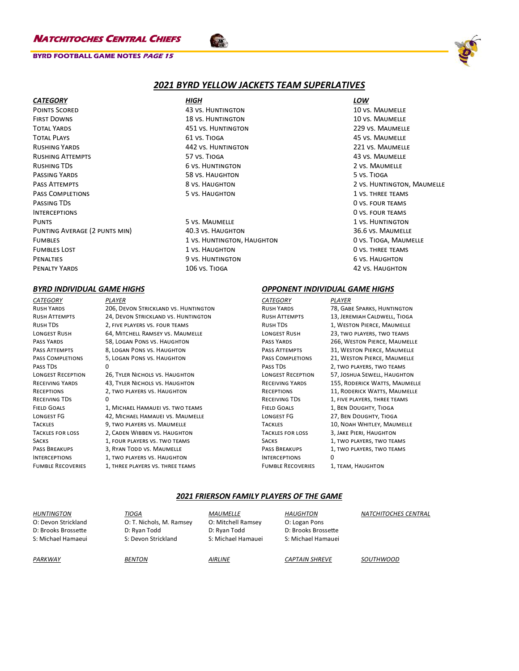### **BYRD FOOTBALL GAME NOTES PAGE 15**



### *2021 BYRD YELLOW JACKETS TEAM SUPERLATIVES*

Points Scored 43 vs. Huntington 10 vs. Maumelle First Downs 18 vs. Huntington 10 vs. Maumelle Total Yards 451 vs. Huntington 229 vs. Maumelle Total Plays 61 vs. Tioga 45 vs. Maumelle Rushing Yards 442 vs. Huntington 221 vs. Maumelle RUSHING ATTEMPTS **Attempts** 57 vs. Tioga 43 vs. Maumelle RUSHING TDS 6 vs. HUNTINGTON 2 vs. MAUMELLE Passing Yards 58 vs. Haughton 58 vs. Haughton 5 vs. Tioga Pass Attempts **Attempts** 8 vs. Haughton 2 vs. Holden 2 vs. Huntington, Maumelle PASS COMPLETIONS **FIGURE 1 VS. THREE TEAMS** 5 VS. HAUGHTON **1** vs. THREE TEAMS PASSING TDS ONE CONTROLLER TO A VEHICLE THE CONTROLLER TO A VEHICLE THE CONTROLLER ONE ONE ONE ONE ONE ONE ONE CONTROLLER Interceptions 0 vs. four teams PUNTS **1** vs. Maumelle 1 vs. Maumelle 1 vs. Huntington PUNTING AVERAGE (2 PUNTS MIN) 40.3 vs. HAUGHTON 36.6 vs. MAUMELLE Fumbles 1 vs. Huntington, Haughton 0 vs. Tioga, Maumelle FUMBLES LOST **EXECUTE:** THE LOST **1** VS. HAUGHTON **1** VS. THREE TEAMS PENALTIES 6 vs. HUNTINGTON 6 vs. HUNTINGTON 6 vs. HAUGHTON PENALTY YARDS **106 vs. TIOGA** 42 vs. HAUGHTON 42 vs. HAUGHTON

# *CATEGORY HIGH LOW*

*CATEGORY PLAYER* Rush Yards 206, Devon Strickland vs. Huntington Rush Attempts 24, Devon Strickland vs. Huntington Rush TDs 2, five players vs. four teams LONGEST RUSH 64, MITCHELL RAMSEY VS. MAUMELLE Pass Yards 58, Logan Pons vs. Haughton PASS ATTEMPTS 8. LOGAN PONS VS. HAUGHTON Pass Completions 5, Logan Pons vs. Haughton Pass TDs 0 Longest Reception 26, Tyler Nichols vs. Haughton RECEIVING YARDS 43, TYLER NICHOLS VS. HAUGHTON Receptions 2, two players vs. Haughton RECEIVING TDS 0 FIELD GOALS 1, MICHAEL HAMAUEI VS. TWO TEAMS Longest FG 42, Michael Hamauei vs. Maumelle Tackles 9, two players vs. Maumelle Tackles for loss 2, Caden Wibben vs. Haughton SACKS 1, FOUR PLAYERS VS. TWO TEAMS PASS BREAKUPS 3, RYAN TODD VS. MAUMELLE INTERCEPTIONS 1, TWO PLAYERS VS. HAUGHTON FUMBLE RECOVERIES 1, THREE PLAYERS VS. THREE TEAMS

### *BYRD INDIVIDUAL GAME HIGHS OPPONENT INDIVIDUAL GAME HIGHS*

*CATEGORY PLAYER* RUSH YARDS 78, GABE SPARKS, HUNTINGTON Rush Attempts 13, Jeremiah Caldwell, Tioga Rush TDs 1, Weston Pierce, Maumelle LONGEST RUSH 23, TWO PLAYERS, TWO TEAMS PASS YARDS 266, WESTON PIERCE, MAUMELLE PASS ATTEMPTS 31, WESTON PIERCE, MAUMELLE PASS COMPLETIONS 21, WESTON PIERCE, MAUMELLE PASS TDS 2, TWO PLAYERS, TWO TEAMS Longest Reception 57, Joshua Sewell, Haughton RECEIVING YARDS 155, RODERICK WATTS, MAUMELLE RECEPTIONS 11, RODERICK WATTS, MAUMELLE RECEIVING TDS 1, FIVE PLAYERS, THREE TEAMS Field Goals 1, Ben Doughty, Tioga Longest FG 27, Ben Doughty, Tioga TACKLES 10, NOAH WHITLEY, MAUMELLE Tackles for loss 3, Jake Pieri, Haughton SACKS 1, TWO PLAYERS, TWO TEAMS PASS BREAKUPS 1, TWO PLAYERS, TWO TEAMS Interceptions 0 FUMBLE RECOVERIES 1, TEAM, HAUGHTON

### *2021 FRIERSON FAMILY PLAYERS OF THE GAME*

| <b>HUNTINGTON</b>   | <b>TIOGA</b>             | <b>MAUMELLE</b>    | <b>HAUGHTON</b>       | <b>NATCHITOCHES CENTRAL</b> |
|---------------------|--------------------------|--------------------|-----------------------|-----------------------------|
| O: Devon Strickland | O: T. Nichols, M. Ramsey | O: Mitchell Ramsey | O: Logan Pons         |                             |
| D: Brooks Brossette | D: Ryan Todd             | D: Ryan Todd       | D: Brooks Brossette   |                             |
| S: Michael Hamaeui  | S: Devon Strickland      | S: Michael Hamauei | S: Michael Hamauei    |                             |
| PARKWAY             | <b>BENTON</b>            | <b>AIRLINE</b>     | <b>CAPTAIN SHREVE</b> | SOUTHWOOD                   |